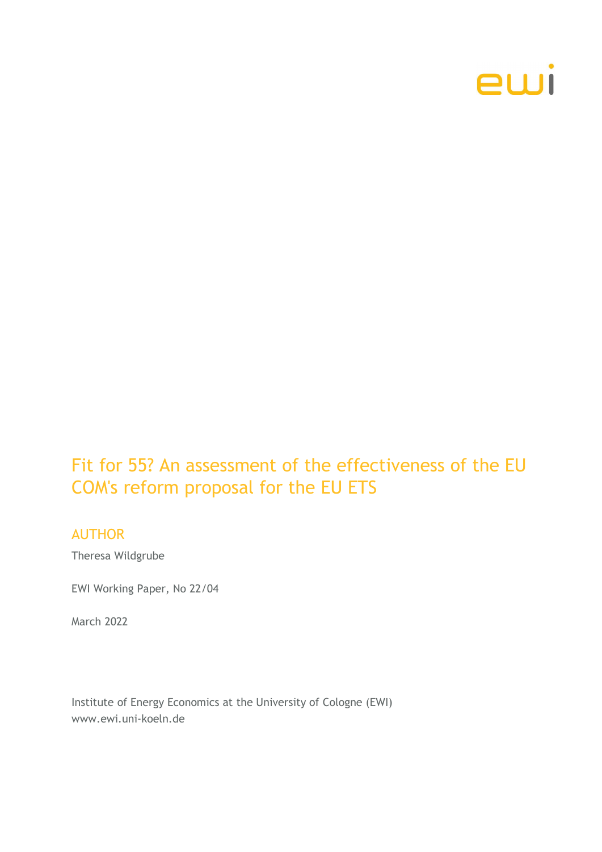

# Fit for 55? An assessment of the effectiveness of the EU COM's reform proposal for the EU ETS

### AUTHOR

Theresa Wildgrube

EWI Working Paper, No 22/04

March 2022

Institute of Energy Economics at the University of Cologne (EWI) www.ewi.uni-koeln.de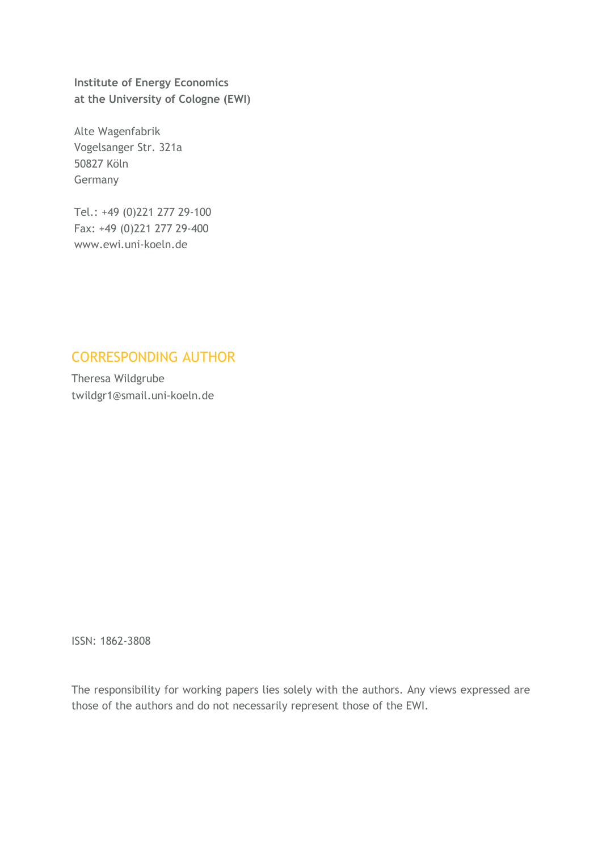Institute of Energy Economics at the University of Cologne (EWI)

Alte Wagenfabrik Vogelsanger Str. 321a 50827 Köln Germany

Tel.: +49 (0)221 277 29-100 Fax: +49 (0)221 277 29-400 www.ewi.uni-koeln.de

## CORRESPONDING AUTHOR

Theresa Wildgrube twildgr1@smail.uni-koeln.de

ISSN: 1862-3808

The responsibility for working papers lies solely with the authors. Any views expressed are those of the authors and do not necessarily represent those of the EWI.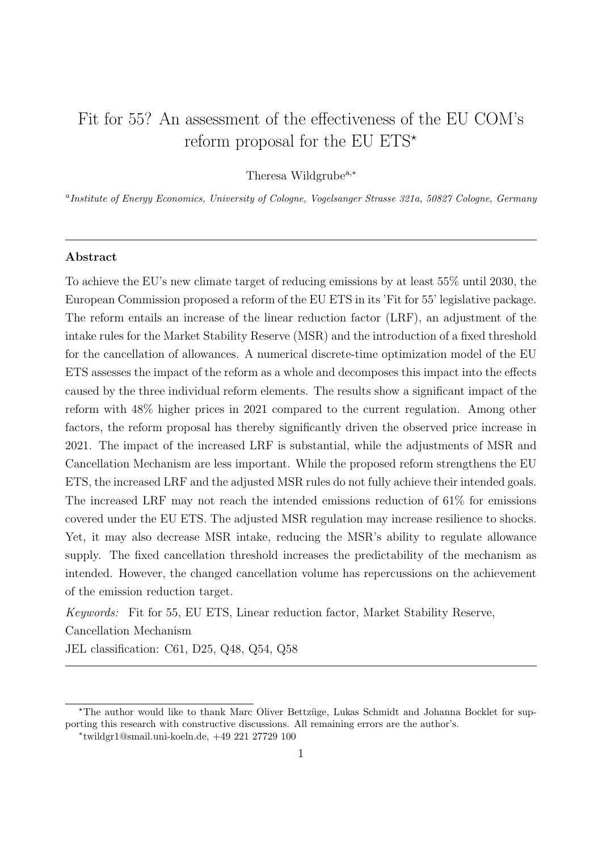## Fit for 55? An assessment of the effectiveness of the EU COM's reform proposal for the EU  $\mathrm{ETS}^{\star}$

Theresa Wildgrube<sup>a,∗</sup>

<sup>a</sup>Institute of Energy Economics, University of Cologne, Vogelsanger Strasse 321a, 50827 Cologne, Germany

#### Abstract

To achieve the EU's new climate target of reducing emissions by at least 55% until 2030, the European Commission proposed a reform of the EU ETS in its 'Fit for 55' legislative package. The reform entails an increase of the linear reduction factor (LRF), an adjustment of the intake rules for the Market Stability Reserve (MSR) and the introduction of a fixed threshold for the cancellation of allowances. A numerical discrete-time optimization model of the EU ETS assesses the impact of the reform as a whole and decomposes this impact into the effects caused by the three individual reform elements. The results show a significant impact of the reform with 48% higher prices in 2021 compared to the current regulation. Among other factors, the reform proposal has thereby significantly driven the observed price increase in 2021. The impact of the increased LRF is substantial, while the adjustments of MSR and Cancellation Mechanism are less important. While the proposed reform strengthens the EU ETS, the increased LRF and the adjusted MSR rules do not fully achieve their intended goals. The increased LRF may not reach the intended emissions reduction of 61% for emissions covered under the EU ETS. The adjusted MSR regulation may increase resilience to shocks. Yet, it may also decrease MSR intake, reducing the MSR's ability to regulate allowance supply. The fixed cancellation threshold increases the predictability of the mechanism as intended. However, the changed cancellation volume has repercussions on the achievement of the emission reduction target.

Keywords: Fit for 55, EU ETS, Linear reduction factor, Market Stability Reserve,

Cancellation Mechanism

JEL classification: C61, D25, Q48, Q54, Q58

<sup>\*</sup>The author would like to thank Marc Oliver Bettzüge, Lukas Schmidt and Johanna Bocklet for supporting this research with constructive discussions. All remaining errors are the author's.

<sup>∗</sup> twildgr1@smail.uni-koeln.de, +49 221 27729 100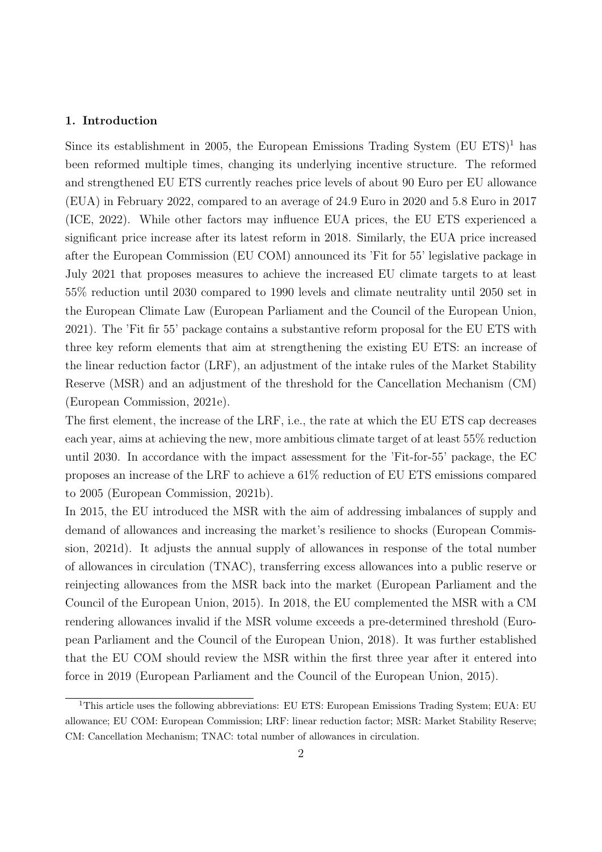#### 1. Introduction

Since its establishment in 2005, the European Emissions Trading System  $(EU ETS)^1$  has been reformed multiple times, changing its underlying incentive structure. The reformed and strengthened EU ETS currently reaches price levels of about 90 Euro per EU allowance (EUA) in February 2022, compared to an average of 24.9 Euro in 2020 and 5.8 Euro in 2017 (ICE, 2022). While other factors may influence EUA prices, the EU ETS experienced a significant price increase after its latest reform in 2018. Similarly, the EUA price increased after the European Commission (EU COM) announced its 'Fit for 55' legislative package in July 2021 that proposes measures to achieve the increased EU climate targets to at least 55% reduction until 2030 compared to 1990 levels and climate neutrality until 2050 set in the European Climate Law (European Parliament and the Council of the European Union, 2021). The 'Fit fir 55' package contains a substantive reform proposal for the EU ETS with three key reform elements that aim at strengthening the existing EU ETS: an increase of the linear reduction factor (LRF), an adjustment of the intake rules of the Market Stability Reserve (MSR) and an adjustment of the threshold for the Cancellation Mechanism (CM) (European Commission, 2021e).

The first element, the increase of the LRF, i.e., the rate at which the EU ETS cap decreases each year, aims at achieving the new, more ambitious climate target of at least 55% reduction until 2030. In accordance with the impact assessment for the 'Fit-for-55' package, the EC proposes an increase of the LRF to achieve a 61% reduction of EU ETS emissions compared to 2005 (European Commission, 2021b).

In 2015, the EU introduced the MSR with the aim of addressing imbalances of supply and demand of allowances and increasing the market's resilience to shocks (European Commission, 2021d). It adjusts the annual supply of allowances in response of the total number of allowances in circulation (TNAC), transferring excess allowances into a public reserve or reinjecting allowances from the MSR back into the market (European Parliament and the Council of the European Union, 2015). In 2018, the EU complemented the MSR with a CM rendering allowances invalid if the MSR volume exceeds a pre-determined threshold (European Parliament and the Council of the European Union, 2018). It was further established that the EU COM should review the MSR within the first three year after it entered into force in 2019 (European Parliament and the Council of the European Union, 2015).

<sup>&</sup>lt;sup>1</sup>This article uses the following abbreviations: EU ETS: European Emissions Trading System; EUA: EU allowance; EU COM: European Commission; LRF: linear reduction factor; MSR: Market Stability Reserve; CM: Cancellation Mechanism; TNAC: total number of allowances in circulation.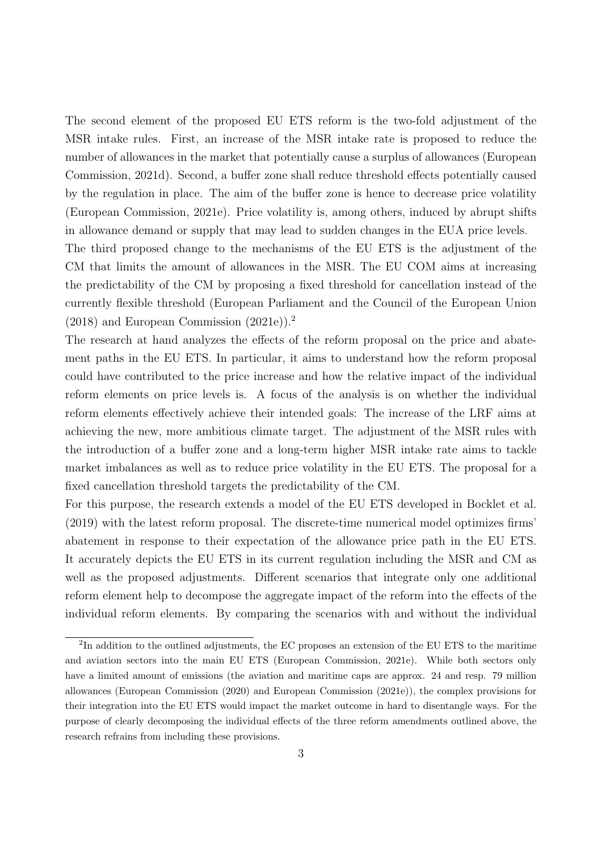The second element of the proposed EU ETS reform is the two-fold adjustment of the MSR intake rules. First, an increase of the MSR intake rate is proposed to reduce the number of allowances in the market that potentially cause a surplus of allowances (European Commission, 2021d). Second, a buffer zone shall reduce threshold effects potentially caused by the regulation in place. The aim of the buffer zone is hence to decrease price volatility (European Commission, 2021e). Price volatility is, among others, induced by abrupt shifts in allowance demand or supply that may lead to sudden changes in the EUA price levels.

The third proposed change to the mechanisms of the EU ETS is the adjustment of the CM that limits the amount of allowances in the MSR. The EU COM aims at increasing the predictability of the CM by proposing a fixed threshold for cancellation instead of the currently flexible threshold (European Parliament and the Council of the European Union (2018) and European Commission (2021e)).<sup>2</sup>

The research at hand analyzes the effects of the reform proposal on the price and abatement paths in the EU ETS. In particular, it aims to understand how the reform proposal could have contributed to the price increase and how the relative impact of the individual reform elements on price levels is. A focus of the analysis is on whether the individual reform elements effectively achieve their intended goals: The increase of the LRF aims at achieving the new, more ambitious climate target. The adjustment of the MSR rules with the introduction of a buffer zone and a long-term higher MSR intake rate aims to tackle market imbalances as well as to reduce price volatility in the EU ETS. The proposal for a fixed cancellation threshold targets the predictability of the CM.

For this purpose, the research extends a model of the EU ETS developed in Bocklet et al. (2019) with the latest reform proposal. The discrete-time numerical model optimizes firms' abatement in response to their expectation of the allowance price path in the EU ETS. It accurately depicts the EU ETS in its current regulation including the MSR and CM as well as the proposed adjustments. Different scenarios that integrate only one additional reform element help to decompose the aggregate impact of the reform into the effects of the individual reform elements. By comparing the scenarios with and without the individual

<sup>&</sup>lt;sup>2</sup>In addition to the outlined adjustments, the EC proposes an extension of the EU ETS to the maritime and aviation sectors into the main EU ETS (European Commission, 2021e). While both sectors only have a limited amount of emissions (the aviation and maritime caps are approx. 24 and resp. 79 million allowances (European Commission (2020) and European Commission (2021e)), the complex provisions for their integration into the EU ETS would impact the market outcome in hard to disentangle ways. For the purpose of clearly decomposing the individual effects of the three reform amendments outlined above, the research refrains from including these provisions.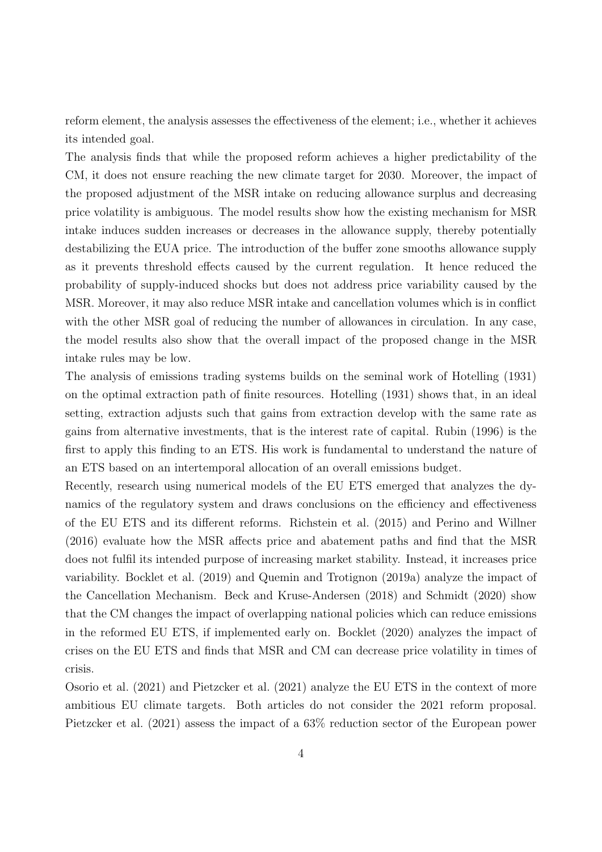reform element, the analysis assesses the effectiveness of the element; i.e., whether it achieves its intended goal.

The analysis finds that while the proposed reform achieves a higher predictability of the CM, it does not ensure reaching the new climate target for 2030. Moreover, the impact of the proposed adjustment of the MSR intake on reducing allowance surplus and decreasing price volatility is ambiguous. The model results show how the existing mechanism for MSR intake induces sudden increases or decreases in the allowance supply, thereby potentially destabilizing the EUA price. The introduction of the buffer zone smooths allowance supply as it prevents threshold effects caused by the current regulation. It hence reduced the probability of supply-induced shocks but does not address price variability caused by the MSR. Moreover, it may also reduce MSR intake and cancellation volumes which is in conflict with the other MSR goal of reducing the number of allowances in circulation. In any case, the model results also show that the overall impact of the proposed change in the MSR intake rules may be low.

The analysis of emissions trading systems builds on the seminal work of Hotelling (1931) on the optimal extraction path of finite resources. Hotelling (1931) shows that, in an ideal setting, extraction adjusts such that gains from extraction develop with the same rate as gains from alternative investments, that is the interest rate of capital. Rubin (1996) is the first to apply this finding to an ETS. His work is fundamental to understand the nature of an ETS based on an intertemporal allocation of an overall emissions budget.

Recently, research using numerical models of the EU ETS emerged that analyzes the dynamics of the regulatory system and draws conclusions on the efficiency and effectiveness of the EU ETS and its different reforms. Richstein et al. (2015) and Perino and Willner (2016) evaluate how the MSR affects price and abatement paths and find that the MSR does not fulfil its intended purpose of increasing market stability. Instead, it increases price variability. Bocklet et al. (2019) and Quemin and Trotignon (2019a) analyze the impact of the Cancellation Mechanism. Beck and Kruse-Andersen (2018) and Schmidt (2020) show that the CM changes the impact of overlapping national policies which can reduce emissions in the reformed EU ETS, if implemented early on. Bocklet (2020) analyzes the impact of crises on the EU ETS and finds that MSR and CM can decrease price volatility in times of crisis.

Osorio et al. (2021) and Pietzcker et al. (2021) analyze the EU ETS in the context of more ambitious EU climate targets. Both articles do not consider the 2021 reform proposal. Pietzcker et al. (2021) assess the impact of a 63% reduction sector of the European power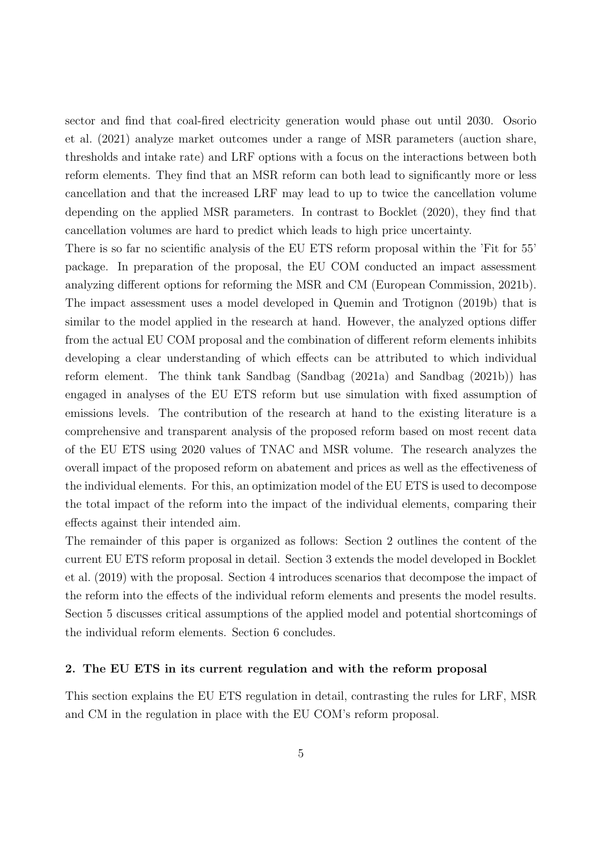sector and find that coal-fired electricity generation would phase out until 2030. Osorio et al. (2021) analyze market outcomes under a range of MSR parameters (auction share, thresholds and intake rate) and LRF options with a focus on the interactions between both reform elements. They find that an MSR reform can both lead to significantly more or less cancellation and that the increased LRF may lead to up to twice the cancellation volume depending on the applied MSR parameters. In contrast to Bocklet (2020), they find that cancellation volumes are hard to predict which leads to high price uncertainty.

There is so far no scientific analysis of the EU ETS reform proposal within the 'Fit for 55' package. In preparation of the proposal, the EU COM conducted an impact assessment analyzing different options for reforming the MSR and CM (European Commission, 2021b). The impact assessment uses a model developed in Quemin and Trotignon (2019b) that is similar to the model applied in the research at hand. However, the analyzed options differ from the actual EU COM proposal and the combination of different reform elements inhibits developing a clear understanding of which effects can be attributed to which individual reform element. The think tank Sandbag (Sandbag (2021a) and Sandbag (2021b)) has engaged in analyses of the EU ETS reform but use simulation with fixed assumption of emissions levels. The contribution of the research at hand to the existing literature is a comprehensive and transparent analysis of the proposed reform based on most recent data of the EU ETS using 2020 values of TNAC and MSR volume. The research analyzes the overall impact of the proposed reform on abatement and prices as well as the effectiveness of the individual elements. For this, an optimization model of the EU ETS is used to decompose the total impact of the reform into the impact of the individual elements, comparing their effects against their intended aim.

The remainder of this paper is organized as follows: Section 2 outlines the content of the current EU ETS reform proposal in detail. Section 3 extends the model developed in Bocklet et al. (2019) with the proposal. Section 4 introduces scenarios that decompose the impact of the reform into the effects of the individual reform elements and presents the model results. Section 5 discusses critical assumptions of the applied model and potential shortcomings of the individual reform elements. Section 6 concludes.

#### 2. The EU ETS in its current regulation and with the reform proposal

This section explains the EU ETS regulation in detail, contrasting the rules for LRF, MSR and CM in the regulation in place with the EU COM's reform proposal.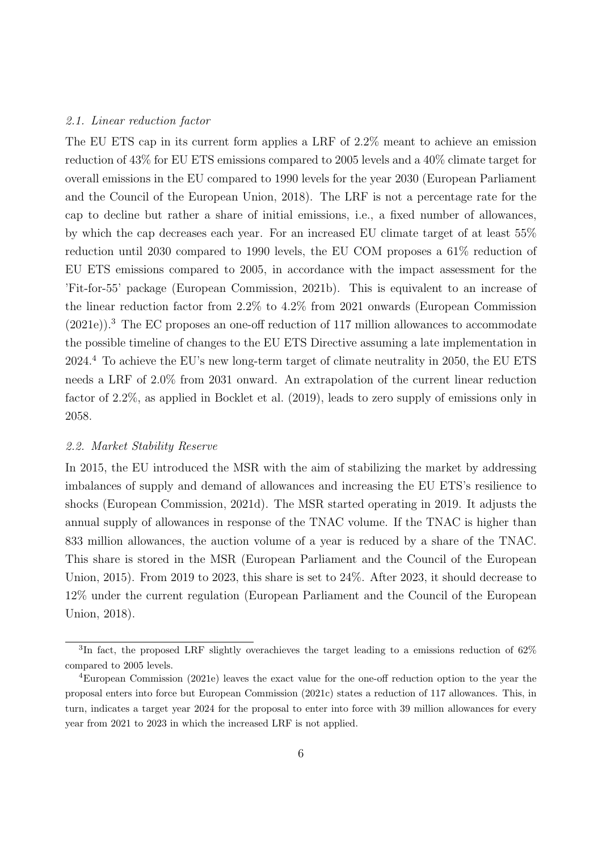#### 2.1. Linear reduction factor

The EU ETS cap in its current form applies a LRF of 2.2% meant to achieve an emission reduction of 43% for EU ETS emissions compared to 2005 levels and a 40% climate target for overall emissions in the EU compared to 1990 levels for the year 2030 (European Parliament and the Council of the European Union, 2018). The LRF is not a percentage rate for the cap to decline but rather a share of initial emissions, i.e., a fixed number of allowances, by which the cap decreases each year. For an increased EU climate target of at least 55% reduction until 2030 compared to 1990 levels, the EU COM proposes a 61% reduction of EU ETS emissions compared to 2005, in accordance with the impact assessment for the 'Fit-for-55' package (European Commission, 2021b). This is equivalent to an increase of the linear reduction factor from 2.2% to 4.2% from 2021 onwards (European Commission (2021e)).<sup>3</sup> The EC proposes an one-off reduction of 117 million allowances to accommodate the possible timeline of changes to the EU ETS Directive assuming a late implementation in 2024.<sup>4</sup> To achieve the EU's new long-term target of climate neutrality in 2050, the EU ETS needs a LRF of 2.0% from 2031 onward. An extrapolation of the current linear reduction factor of 2.2%, as applied in Bocklet et al. (2019), leads to zero supply of emissions only in 2058.

#### 2.2. Market Stability Reserve

In 2015, the EU introduced the MSR with the aim of stabilizing the market by addressing imbalances of supply and demand of allowances and increasing the EU ETS's resilience to shocks (European Commission, 2021d). The MSR started operating in 2019. It adjusts the annual supply of allowances in response of the TNAC volume. If the TNAC is higher than 833 million allowances, the auction volume of a year is reduced by a share of the TNAC. This share is stored in the MSR (European Parliament and the Council of the European Union, 2015). From 2019 to 2023, this share is set to 24%. After 2023, it should decrease to 12% under the current regulation (European Parliament and the Council of the European Union, 2018).

<sup>&</sup>lt;sup>3</sup>In fact, the proposed LRF slightly overachieves the target leading to a emissions reduction of  $62\%$ compared to 2005 levels.

<sup>4</sup>European Commission (2021e) leaves the exact value for the one-off reduction option to the year the proposal enters into force but European Commission (2021c) states a reduction of 117 allowances. This, in turn, indicates a target year 2024 for the proposal to enter into force with 39 million allowances for every year from 2021 to 2023 in which the increased LRF is not applied.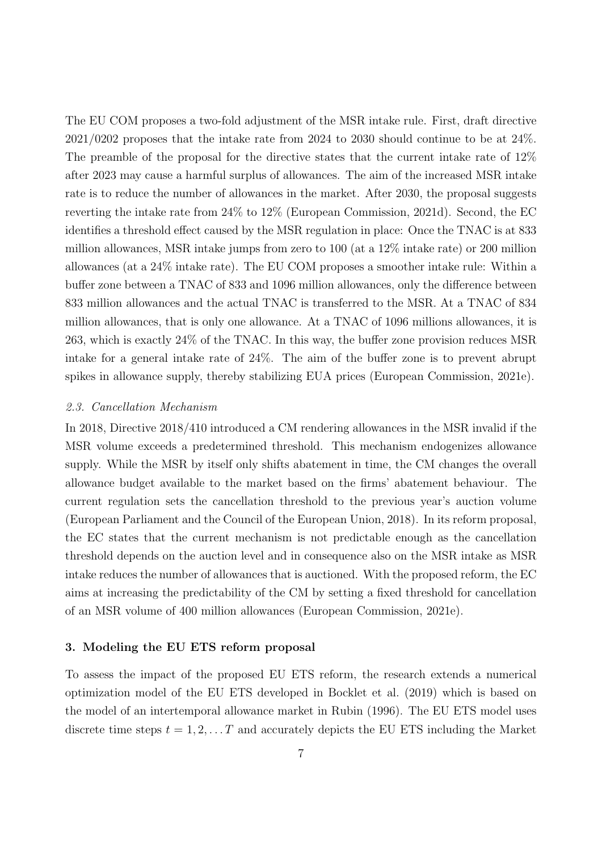The EU COM proposes a two-fold adjustment of the MSR intake rule. First, draft directive 2021/0202 proposes that the intake rate from 2024 to 2030 should continue to be at 24%. The preamble of the proposal for the directive states that the current intake rate of 12% after 2023 may cause a harmful surplus of allowances. The aim of the increased MSR intake rate is to reduce the number of allowances in the market. After 2030, the proposal suggests reverting the intake rate from 24% to 12% (European Commission, 2021d). Second, the EC identifies a threshold effect caused by the MSR regulation in place: Once the TNAC is at 833 million allowances, MSR intake jumps from zero to 100 (at a 12% intake rate) or 200 million allowances (at a 24% intake rate). The EU COM proposes a smoother intake rule: Within a buffer zone between a TNAC of 833 and 1096 million allowances, only the difference between 833 million allowances and the actual TNAC is transferred to the MSR. At a TNAC of 834 million allowances, that is only one allowance. At a TNAC of 1096 millions allowances, it is 263, which is exactly 24% of the TNAC. In this way, the buffer zone provision reduces MSR intake for a general intake rate of 24%. The aim of the buffer zone is to prevent abrupt spikes in allowance supply, thereby stabilizing EUA prices (European Commission, 2021e).

#### 2.3. Cancellation Mechanism

In 2018, Directive 2018/410 introduced a CM rendering allowances in the MSR invalid if the MSR volume exceeds a predetermined threshold. This mechanism endogenizes allowance supply. While the MSR by itself only shifts abatement in time, the CM changes the overall allowance budget available to the market based on the firms' abatement behaviour. The current regulation sets the cancellation threshold to the previous year's auction volume (European Parliament and the Council of the European Union, 2018). In its reform proposal, the EC states that the current mechanism is not predictable enough as the cancellation threshold depends on the auction level and in consequence also on the MSR intake as MSR intake reduces the number of allowances that is auctioned. With the proposed reform, the EC aims at increasing the predictability of the CM by setting a fixed threshold for cancellation of an MSR volume of 400 million allowances (European Commission, 2021e).

#### 3. Modeling the EU ETS reform proposal

To assess the impact of the proposed EU ETS reform, the research extends a numerical optimization model of the EU ETS developed in Bocklet et al. (2019) which is based on the model of an intertemporal allowance market in Rubin (1996). The EU ETS model uses discrete time steps  $t = 1, 2, \ldots T$  and accurately depicts the EU ETS including the Market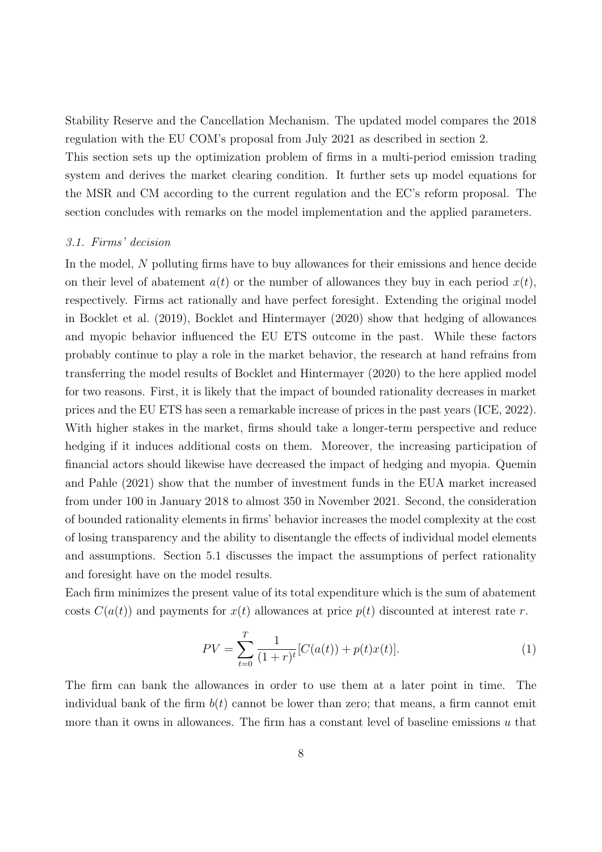Stability Reserve and the Cancellation Mechanism. The updated model compares the 2018 regulation with the EU COM's proposal from July 2021 as described in section 2. This section sets up the optimization problem of firms in a multi-period emission trading system and derives the market clearing condition. It further sets up model equations for the MSR and CM according to the current regulation and the EC's reform proposal. The section concludes with remarks on the model implementation and the applied parameters.

#### 3.1. Firms' decision

In the model, N polluting firms have to buy allowances for their emissions and hence decide on their level of abatement  $a(t)$  or the number of allowances they buy in each period  $x(t)$ , respectively. Firms act rationally and have perfect foresight. Extending the original model in Bocklet et al. (2019), Bocklet and Hintermayer (2020) show that hedging of allowances and myopic behavior influenced the EU ETS outcome in the past. While these factors probably continue to play a role in the market behavior, the research at hand refrains from transferring the model results of Bocklet and Hintermayer (2020) to the here applied model for two reasons. First, it is likely that the impact of bounded rationality decreases in market prices and the EU ETS has seen a remarkable increase of prices in the past years (ICE, 2022). With higher stakes in the market, firms should take a longer-term perspective and reduce hedging if it induces additional costs on them. Moreover, the increasing participation of financial actors should likewise have decreased the impact of hedging and myopia. Quemin and Pahle (2021) show that the number of investment funds in the EUA market increased from under 100 in January 2018 to almost 350 in November 2021. Second, the consideration of bounded rationality elements in firms' behavior increases the model complexity at the cost of losing transparency and the ability to disentangle the effects of individual model elements and assumptions. Section 5.1 discusses the impact the assumptions of perfect rationality and foresight have on the model results.

Each firm minimizes the present value of its total expenditure which is the sum of abatement costs  $C(a(t))$  and payments for  $x(t)$  allowances at price  $p(t)$  discounted at interest rate r.

$$
PV = \sum_{t=0}^{T} \frac{1}{(1+r)^t} [C(a(t)) + p(t)x(t)].
$$
\n(1)

The firm can bank the allowances in order to use them at a later point in time. The individual bank of the firm  $b(t)$  cannot be lower than zero; that means, a firm cannot emit more than it owns in allowances. The firm has a constant level of baseline emissions  $u$  that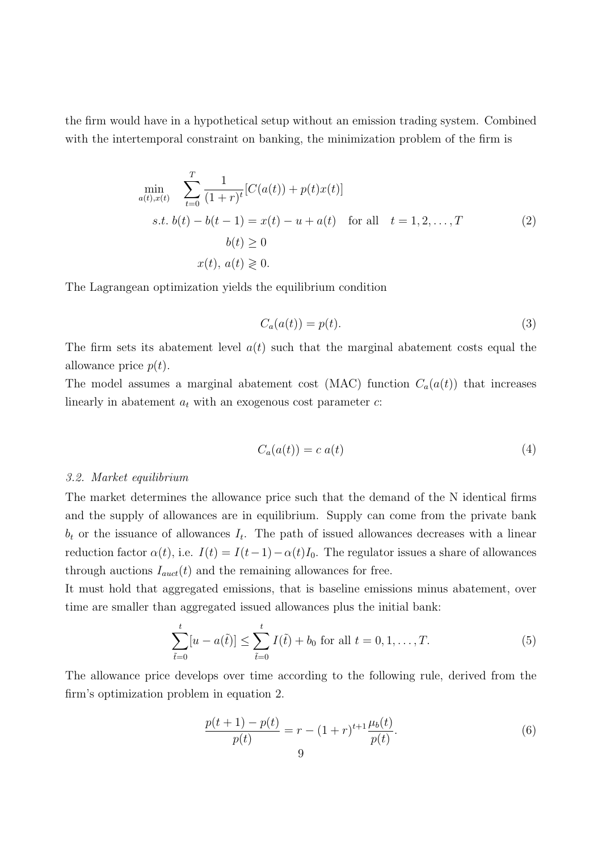the firm would have in a hypothetical setup without an emission trading system. Combined with the intertemporal constraint on banking, the minimization problem of the firm is

$$
\min_{a(t),x(t)} \sum_{t=0}^{T} \frac{1}{(1+r)^{t}} [C(a(t)) + p(t)x(t)]
$$
  
s.t.  $b(t) - b(t-1) = x(t) - u + a(t)$  for all  $t = 1, 2, ..., T$   
 $b(t) \ge 0$   
 $x(t), a(t) \ge 0.$  (2)

The Lagrangean optimization yields the equilibrium condition

$$
C_a(a(t)) = p(t). \tag{3}
$$

The firm sets its abatement level  $a(t)$  such that the marginal abatement costs equal the allowance price  $p(t)$ .

The model assumes a marginal abatement cost (MAC) function  $C_a(a(t))$  that increases linearly in abatement  $a_t$  with an exogenous cost parameter  $c$ :

$$
C_a(a(t)) = c \ a(t) \tag{4}
$$

#### 3.2. Market equilibrium

The market determines the allowance price such that the demand of the N identical firms and the supply of allowances are in equilibrium. Supply can come from the private bank  $b_t$  or the issuance of allowances  $I_t$ . The path of issued allowances decreases with a linear reduction factor  $\alpha(t)$ , i.e.  $I(t) = I(t-1) - \alpha(t)I_0$ . The regulator issues a share of allowances through auctions  $I_{auct}(t)$  and the remaining allowances for free.

It must hold that aggregated emissions, that is baseline emissions minus abatement, over time are smaller than aggregated issued allowances plus the initial bank:

$$
\sum_{\tilde{t}=0}^{t} [u - a(\tilde{t})] \le \sum_{\tilde{t}=0}^{t} I(\tilde{t}) + b_0 \text{ for all } t = 0, 1, ..., T.
$$
 (5)

The allowance price develops over time according to the following rule, derived from the firm's optimization problem in equation 2.

$$
\frac{p(t+1) - p(t)}{p(t)} = r - (1+r)^{t+1} \frac{\mu_b(t)}{p(t)}.
$$
\n(6)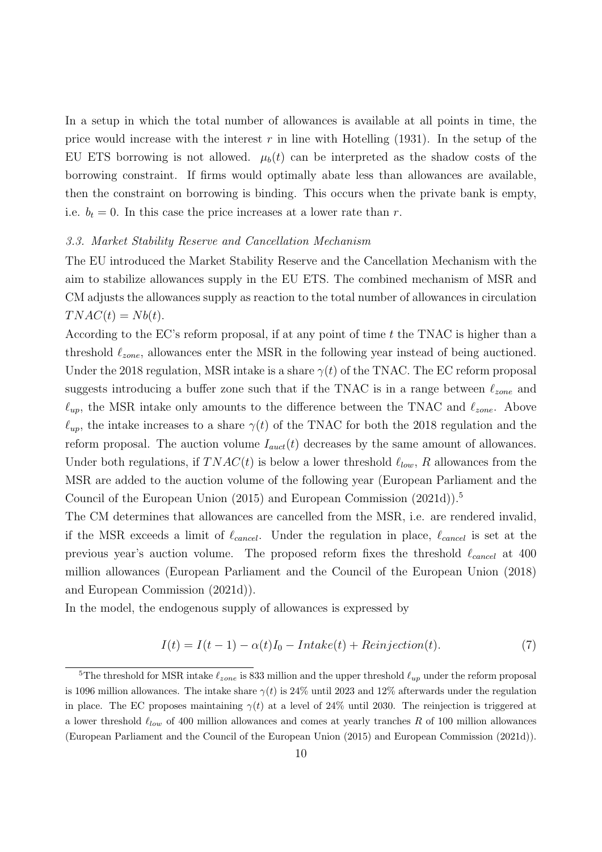In a setup in which the total number of allowances is available at all points in time, the price would increase with the interest r in line with Hotelling  $(1931)$ . In the setup of the EU ETS borrowing is not allowed.  $\mu_b(t)$  can be interpreted as the shadow costs of the borrowing constraint. If firms would optimally abate less than allowances are available, then the constraint on borrowing is binding. This occurs when the private bank is empty, i.e.  $b_t = 0$ . In this case the price increases at a lower rate than r.

#### 3.3. Market Stability Reserve and Cancellation Mechanism

The EU introduced the Market Stability Reserve and the Cancellation Mechanism with the aim to stabilize allowances supply in the EU ETS. The combined mechanism of MSR and CM adjusts the allowances supply as reaction to the total number of allowances in circulation  $T N A C(t) = N b(t).$ 

According to the EC's reform proposal, if at any point of time  $t$  the TNAC is higher than a threshold  $\ell_{zone}$ , allowances enter the MSR in the following year instead of being auctioned. Under the 2018 regulation, MSR intake is a share  $\gamma(t)$  of the TNAC. The EC reform proposal suggests introducing a buffer zone such that if the TNAC is in a range between  $\ell_{zone}$  and  $\ell_{up}$ , the MSR intake only amounts to the difference between the TNAC and  $\ell_{zone}$ . Above  $\ell_{up}$ , the intake increases to a share  $\gamma(t)$  of the TNAC for both the 2018 regulation and the reform proposal. The auction volume  $I_{auct}(t)$  decreases by the same amount of allowances. Under both regulations, if  $TNAC(t)$  is below a lower threshold  $\ell_{low}$ , R allowances from the MSR are added to the auction volume of the following year (European Parliament and the Council of the European Union (2015) and European Commission (2021d)).<sup>5</sup>

The CM determines that allowances are cancelled from the MSR, i.e. are rendered invalid, if the MSR exceeds a limit of  $\ell_{cancel}$ . Under the regulation in place,  $\ell_{cancel}$  is set at the previous year's auction volume. The proposed reform fixes the threshold  $\ell_{cancel}$  at 400 million allowances (European Parliament and the Council of the European Union (2018) and European Commission (2021d)).

In the model, the endogenous supply of allowances is expressed by

$$
I(t) = I(t-1) - \alpha(t)I_0 - Intake(t) + Reinjection(t).
$$
\n(7)

<sup>&</sup>lt;sup>5</sup>The threshold for MSR intake  $\ell_{zone}$  is 833 million and the upper threshold  $\ell_{up}$  under the reform proposal is 1096 million allowances. The intake share  $\gamma(t)$  is 24% until 2023 and 12% afterwards under the regulation in place. The EC proposes maintaining  $\gamma(t)$  at a level of 24% until 2030. The reinjection is triggered at a lower threshold  $\ell_{low}$  of 400 million allowances and comes at yearly tranches R of 100 million allowances (European Parliament and the Council of the European Union (2015) and European Commission (2021d)).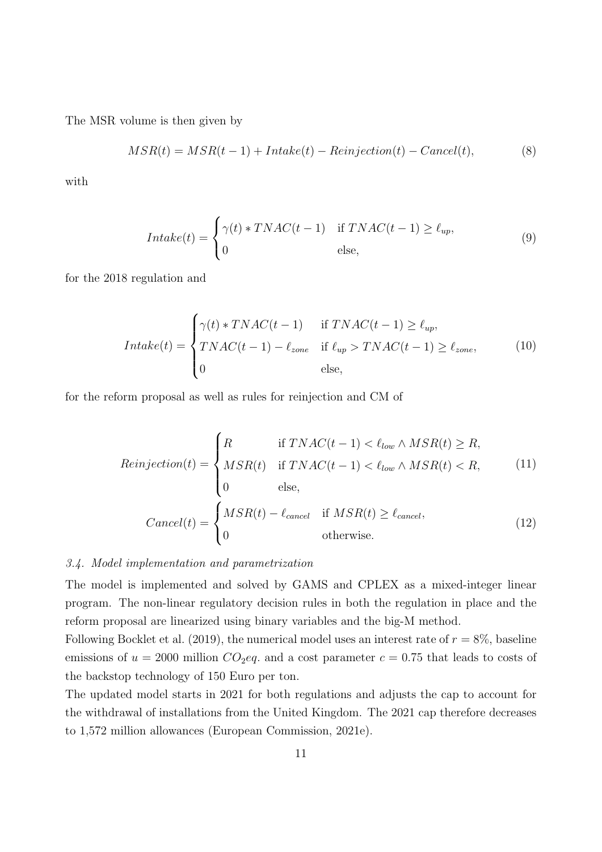The MSR volume is then given by

$$
MSR(t) = MSR(t-1) + Intake(t) - Reinjection(t) - Cancel(t),
$$
\n(8)

with

$$
Intake(t) = \begin{cases} \gamma(t) * TNAC(t-1) & \text{if } TNAC(t-1) \ge \ell_{up}, \\ 0 & \text{else,} \end{cases}
$$
(9)

for the 2018 regulation and

$$
Intake(t) = \begin{cases} \gamma(t) * TNAC(t-1) & \text{if } TNAC(t-1) \ge \ell_{up}, \\ TNAC(t-1) - \ell_{zone} & \text{if } \ell_{up} > TNAC(t-1) \ge \ell_{zone}, \\ 0 & \text{else,} \end{cases} \tag{10}
$$

for the reform proposal as well as rules for reinjection and CM of

$$
Reinjection(t) = \begin{cases} R & \text{if } T NAC(t-1) < \ell_{low} \land MSR(t) \ge R, \\ MSR(t) & \text{if } T NAC(t-1) < \ell_{low} \land MSR(t) < R, \\ 0 & \text{else,} \end{cases} \tag{11}
$$
\n
$$
Cancel(t) = \begin{cases} MSR(t) - \ell_{cancel} & \text{if } MSR(t) \ge \ell_{cancel}, \\ 0 & \text{otherwise.} \end{cases} \tag{12}
$$

#### 3.4. Model implementation and parametrization

The model is implemented and solved by GAMS and CPLEX as a mixed-integer linear program. The non-linear regulatory decision rules in both the regulation in place and the reform proposal are linearized using binary variables and the big-M method.

Following Bocklet et al. (2019), the numerical model uses an interest rate of  $r = 8\%$ , baseline emissions of  $u = 2000$  million  $CO_2$ eq. and a cost parameter  $c = 0.75$  that leads to costs of the backstop technology of 150 Euro per ton.

The updated model starts in 2021 for both regulations and adjusts the cap to account for the withdrawal of installations from the United Kingdom. The 2021 cap therefore decreases to 1,572 million allowances (European Commission, 2021e).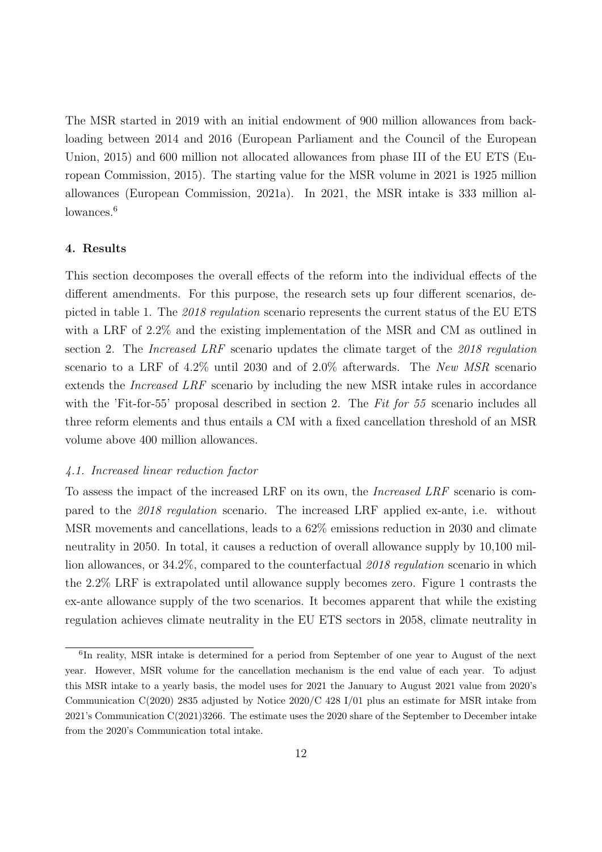The MSR started in 2019 with an initial endowment of 900 million allowances from backloading between 2014 and 2016 (European Parliament and the Council of the European Union, 2015) and 600 million not allocated allowances from phase III of the EU ETS (European Commission, 2015). The starting value for the MSR volume in 2021 is 1925 million allowances (European Commission, 2021a). In 2021, the MSR intake is 333 million allowances.<sup>6</sup>

#### 4. Results

This section decomposes the overall effects of the reform into the individual effects of the different amendments. For this purpose, the research sets up four different scenarios, depicted in table 1. The 2018 regulation scenario represents the current status of the EU ETS with a LRF of 2.2% and the existing implementation of the MSR and CM as outlined in section 2. The *Increased LRF* scenario updates the climate target of the 2018 regulation scenario to a LRF of 4.2% until 2030 and of 2.0% afterwards. The New MSR scenario extends the Increased LRF scenario by including the new MSR intake rules in accordance with the 'Fit-for-55' proposal described in section 2. The Fit for 55 scenario includes all three reform elements and thus entails a CM with a fixed cancellation threshold of an MSR volume above 400 million allowances.

#### 4.1. Increased linear reduction factor

To assess the impact of the increased LRF on its own, the Increased LRF scenario is compared to the 2018 regulation scenario. The increased LRF applied ex-ante, i.e. without MSR movements and cancellations, leads to a 62% emissions reduction in 2030 and climate neutrality in 2050. In total, it causes a reduction of overall allowance supply by 10,100 million allowances, or 34.2%, compared to the counterfactual 2018 regulation scenario in which the 2.2% LRF is extrapolated until allowance supply becomes zero. Figure 1 contrasts the ex-ante allowance supply of the two scenarios. It becomes apparent that while the existing regulation achieves climate neutrality in the EU ETS sectors in 2058, climate neutrality in

<sup>&</sup>lt;sup>6</sup>In reality, MSR intake is determined for a period from September of one year to August of the next year. However, MSR volume for the cancellation mechanism is the end value of each year. To adjust this MSR intake to a yearly basis, the model uses for 2021 the January to August 2021 value from 2020's Communication C(2020) 2835 adjusted by Notice 2020/C 428 I/01 plus an estimate for MSR intake from 2021's Communication C(2021)3266. The estimate uses the 2020 share of the September to December intake from the 2020's Communication total intake.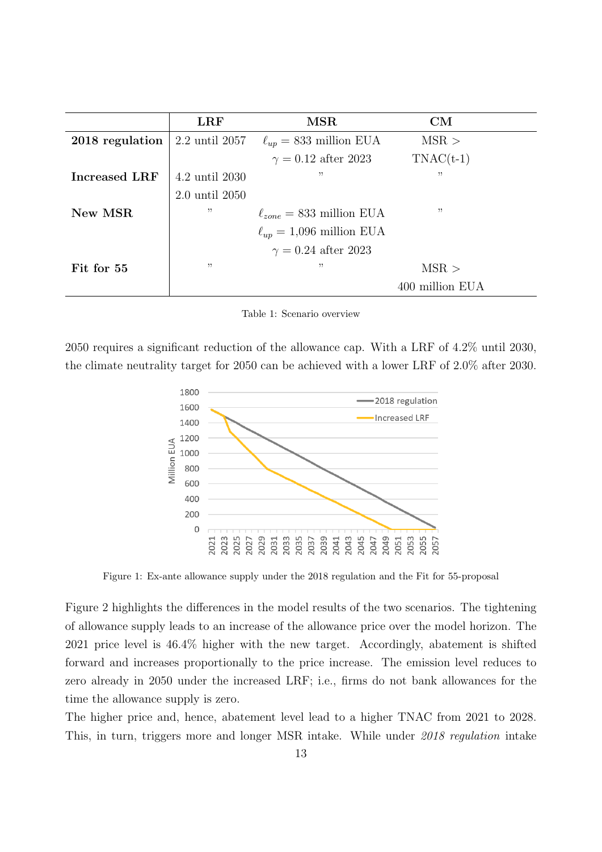|                 | $_{\rm LRF}$   | MSR                             | CM              |
|-----------------|----------------|---------------------------------|-----------------|
| 2018 regulation | 2.2 until 2057 | $\ell_{up} = 833$ million EUA   | MSR >           |
|                 |                | $\gamma = 0.12$ after 2023      | $TNAC(t-1)$     |
| Increased LRF   | 4.2 until 2030 | "                               | , 2             |
|                 | 2.0 until 2050 |                                 |                 |
| New MSR         | , ,            | $\ell_{zone} = 833$ million EUA | "               |
|                 |                | $\ell_{up} = 1,096$ million EUA |                 |
|                 |                | $\gamma = 0.24$ after 2023      |                 |
| Fit for 55      | , ,            | "                               | MSR >           |
|                 |                |                                 | 400 million EUA |

Table 1: Scenario overview

2050 requires a significant reduction of the allowance cap. With a LRF of 4.2% until 2030, the climate neutrality target for 2050 can be achieved with a lower LRF of 2.0% after 2030.



Figure 1: Ex-ante allowance supply under the 2018 regulation and the Fit for 55-proposal

Figure 2 highlights the differences in the model results of the two scenarios. The tightening of allowance supply leads to an increase of the allowance price over the model horizon. The 2021 price level is 46.4% higher with the new target. Accordingly, abatement is shifted forward and increases proportionally to the price increase. The emission level reduces to zero already in 2050 under the increased LRF; i.e., firms do not bank allowances for the time the allowance supply is zero.

The higher price and, hence, abatement level lead to a higher TNAC from 2021 to 2028. This, in turn, triggers more and longer MSR intake. While under 2018 regulation intake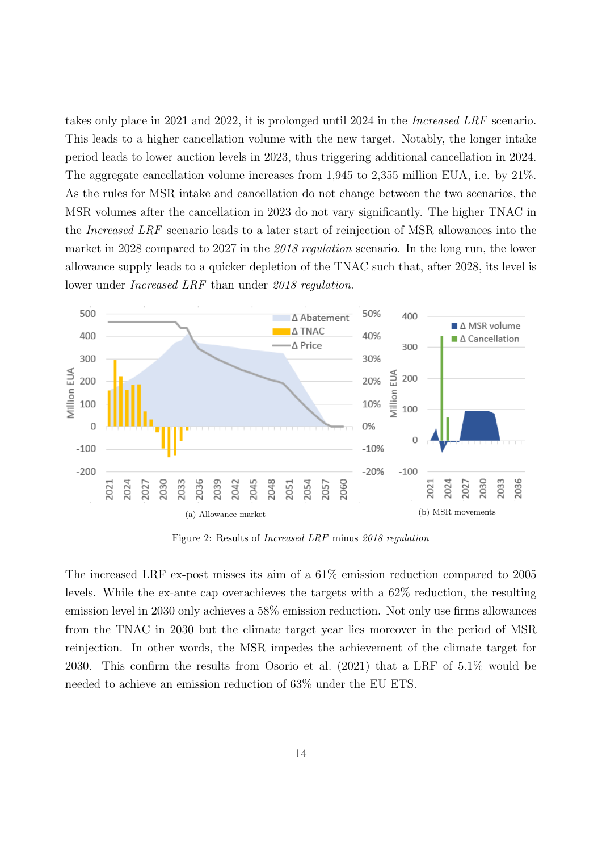takes only place in 2021 and 2022, it is prolonged until 2024 in the Increased LRF scenario. This leads to a higher cancellation volume with the new target. Notably, the longer intake period leads to lower auction levels in 2023, thus triggering additional cancellation in 2024. The aggregate cancellation volume increases from 1,945 to 2,355 million EUA, i.e. by 21%. As the rules for MSR intake and cancellation do not change between the two scenarios, the MSR volumes after the cancellation in 2023 do not vary significantly. The higher TNAC in the Increased LRF scenario leads to a later start of reinjection of MSR allowances into the market in 2028 compared to 2027 in the 2018 regulation scenario. In the long run, the lower allowance supply leads to a quicker depletion of the TNAC such that, after 2028, its level is lower under Increased LRF than under 2018 regulation.



Figure 2: Results of Increased LRF minus 2018 regulation

The increased LRF ex-post misses its aim of a 61% emission reduction compared to 2005 levels. While the ex-ante cap overachieves the targets with a 62% reduction, the resulting emission level in 2030 only achieves a 58% emission reduction. Not only use firms allowances from the TNAC in 2030 but the climate target year lies moreover in the period of MSR reinjection. In other words, the MSR impedes the achievement of the climate target for 2030. This confirm the results from Osorio et al. (2021) that a LRF of 5.1% would be needed to achieve an emission reduction of 63% under the EU ETS.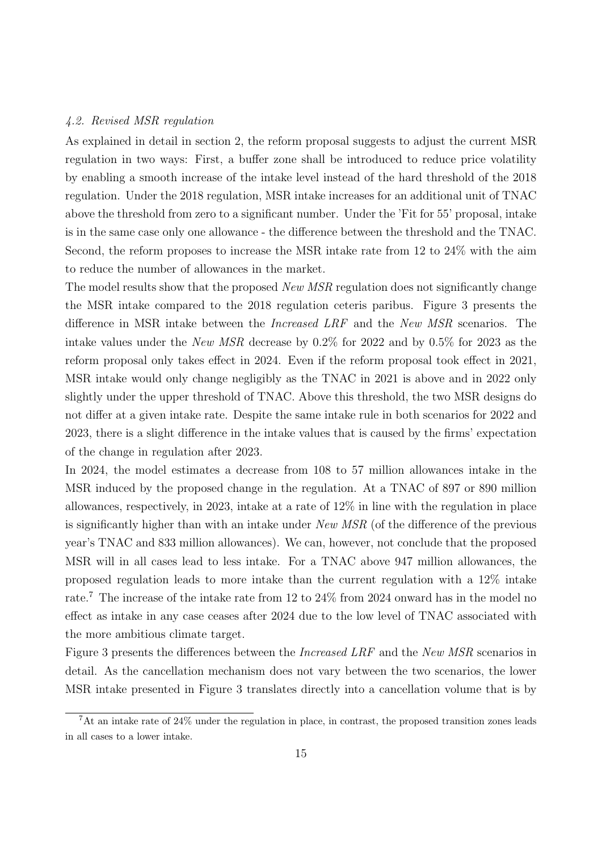#### 4.2. Revised MSR regulation

As explained in detail in section 2, the reform proposal suggests to adjust the current MSR regulation in two ways: First, a buffer zone shall be introduced to reduce price volatility by enabling a smooth increase of the intake level instead of the hard threshold of the 2018 regulation. Under the 2018 regulation, MSR intake increases for an additional unit of TNAC above the threshold from zero to a significant number. Under the 'Fit for 55' proposal, intake is in the same case only one allowance - the difference between the threshold and the TNAC. Second, the reform proposes to increase the MSR intake rate from 12 to 24% with the aim to reduce the number of allowances in the market.

The model results show that the proposed New MSR regulation does not significantly change the MSR intake compared to the 2018 regulation ceteris paribus. Figure 3 presents the difference in MSR intake between the Increased LRF and the New MSR scenarios. The intake values under the New MSR decrease by 0.2% for 2022 and by 0.5% for 2023 as the reform proposal only takes effect in 2024. Even if the reform proposal took effect in 2021, MSR intake would only change negligibly as the TNAC in 2021 is above and in 2022 only slightly under the upper threshold of TNAC. Above this threshold, the two MSR designs do not differ at a given intake rate. Despite the same intake rule in both scenarios for 2022 and 2023, there is a slight difference in the intake values that is caused by the firms' expectation of the change in regulation after 2023.

In 2024, the model estimates a decrease from 108 to 57 million allowances intake in the MSR induced by the proposed change in the regulation. At a TNAC of 897 or 890 million allowances, respectively, in 2023, intake at a rate of 12% in line with the regulation in place is significantly higher than with an intake under New MSR (of the difference of the previous year's TNAC and 833 million allowances). We can, however, not conclude that the proposed MSR will in all cases lead to less intake. For a TNAC above 947 million allowances, the proposed regulation leads to more intake than the current regulation with a 12% intake rate.<sup>7</sup> The increase of the intake rate from 12 to 24% from 2024 onward has in the model no effect as intake in any case ceases after 2024 due to the low level of TNAC associated with the more ambitious climate target.

Figure 3 presents the differences between the Increased LRF and the New MSR scenarios in detail. As the cancellation mechanism does not vary between the two scenarios, the lower MSR intake presented in Figure 3 translates directly into a cancellation volume that is by

<sup>7</sup>At an intake rate of 24% under the regulation in place, in contrast, the proposed transition zones leads in all cases to a lower intake.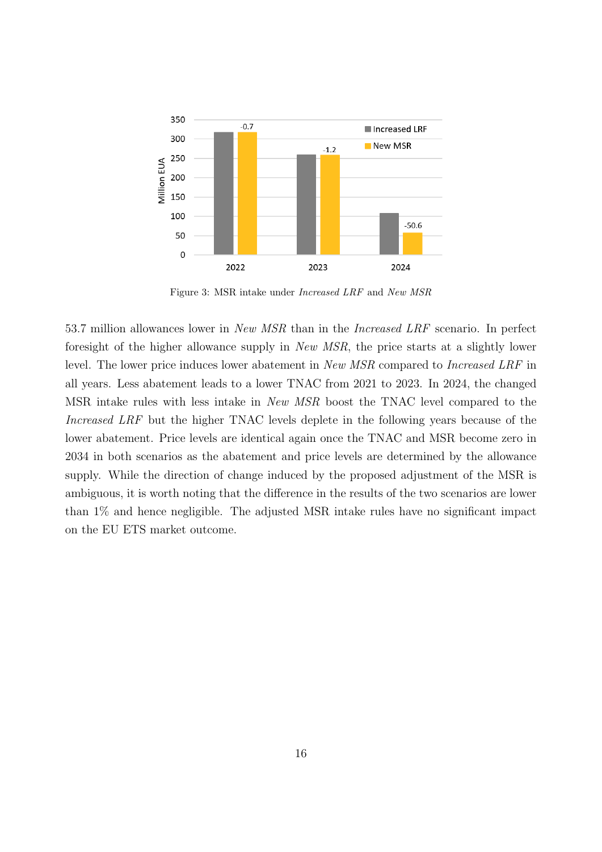

Figure 3: MSR intake under Increased LRF and New MSR

53.7 million allowances lower in New MSR than in the Increased LRF scenario. In perfect foresight of the higher allowance supply in New MSR, the price starts at a slightly lower level. The lower price induces lower abatement in *New MSR* compared to *Increased LRF* in all years. Less abatement leads to a lower TNAC from 2021 to 2023. In 2024, the changed MSR intake rules with less intake in New MSR boost the TNAC level compared to the Increased LRF but the higher TNAC levels deplete in the following years because of the lower abatement. Price levels are identical again once the TNAC and MSR become zero in 2034 in both scenarios as the abatement and price levels are determined by the allowance supply. While the direction of change induced by the proposed adjustment of the MSR is ambiguous, it is worth noting that the difference in the results of the two scenarios are lower than 1% and hence negligible. The adjusted MSR intake rules have no significant impact on the EU ETS market outcome.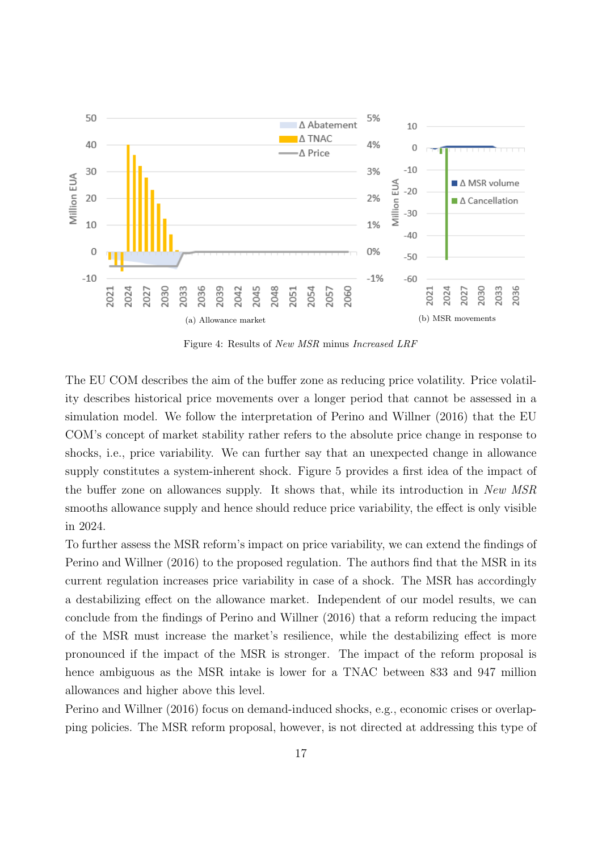

Figure 4: Results of New MSR minus Increased LRF

The EU COM describes the aim of the buffer zone as reducing price volatility. Price volatility describes historical price movements over a longer period that cannot be assessed in a simulation model. We follow the interpretation of Perino and Willner (2016) that the EU COM's concept of market stability rather refers to the absolute price change in response to shocks, i.e., price variability. We can further say that an unexpected change in allowance supply constitutes a system-inherent shock. Figure 5 provides a first idea of the impact of the buffer zone on allowances supply. It shows that, while its introduction in New MSR smooths allowance supply and hence should reduce price variability, the effect is only visible in 2024.

To further assess the MSR reform's impact on price variability, we can extend the findings of Perino and Willner (2016) to the proposed regulation. The authors find that the MSR in its current regulation increases price variability in case of a shock. The MSR has accordingly a destabilizing effect on the allowance market. Independent of our model results, we can conclude from the findings of Perino and Willner (2016) that a reform reducing the impact of the MSR must increase the market's resilience, while the destabilizing effect is more pronounced if the impact of the MSR is stronger. The impact of the reform proposal is hence ambiguous as the MSR intake is lower for a TNAC between 833 and 947 million allowances and higher above this level.

Perino and Willner (2016) focus on demand-induced shocks, e.g., economic crises or overlapping policies. The MSR reform proposal, however, is not directed at addressing this type of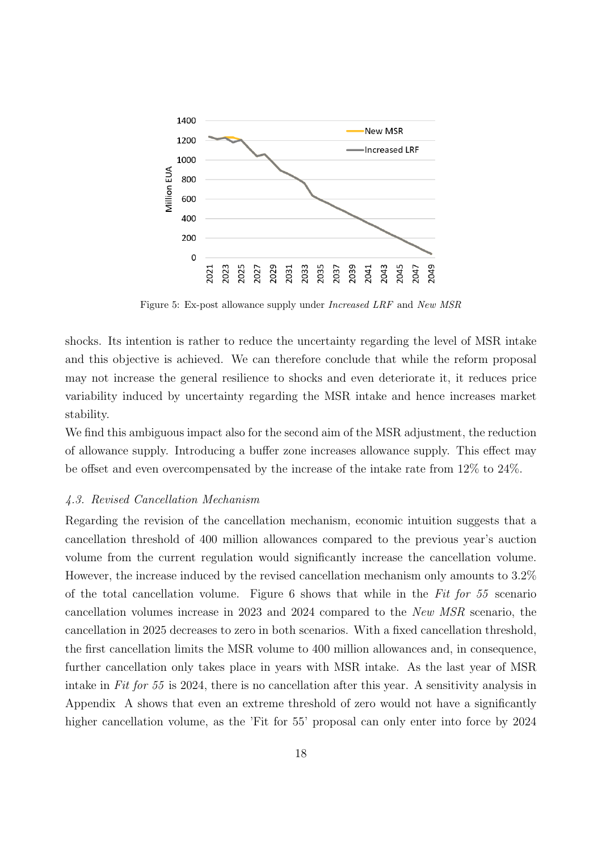

Figure 5: Ex-post allowance supply under Increased LRF and New MSR

shocks. Its intention is rather to reduce the uncertainty regarding the level of MSR intake and this objective is achieved. We can therefore conclude that while the reform proposal may not increase the general resilience to shocks and even deteriorate it, it reduces price variability induced by uncertainty regarding the MSR intake and hence increases market stability.

We find this ambiguous impact also for the second aim of the MSR adjustment, the reduction of allowance supply. Introducing a buffer zone increases allowance supply. This effect may be offset and even overcompensated by the increase of the intake rate from 12% to 24%.

#### 4.3. Revised Cancellation Mechanism

Regarding the revision of the cancellation mechanism, economic intuition suggests that a cancellation threshold of 400 million allowances compared to the previous year's auction volume from the current regulation would significantly increase the cancellation volume. However, the increase induced by the revised cancellation mechanism only amounts to 3.2% of the total cancellation volume. Figure 6 shows that while in the Fit for  $55$  scenario cancellation volumes increase in 2023 and 2024 compared to the New MSR scenario, the cancellation in 2025 decreases to zero in both scenarios. With a fixed cancellation threshold, the first cancellation limits the MSR volume to 400 million allowances and, in consequence, further cancellation only takes place in years with MSR intake. As the last year of MSR intake in Fit for 55 is 2024, there is no cancellation after this year. A sensitivity analysis in Appendix A shows that even an extreme threshold of zero would not have a significantly higher cancellation volume, as the 'Fit for 55' proposal can only enter into force by 2024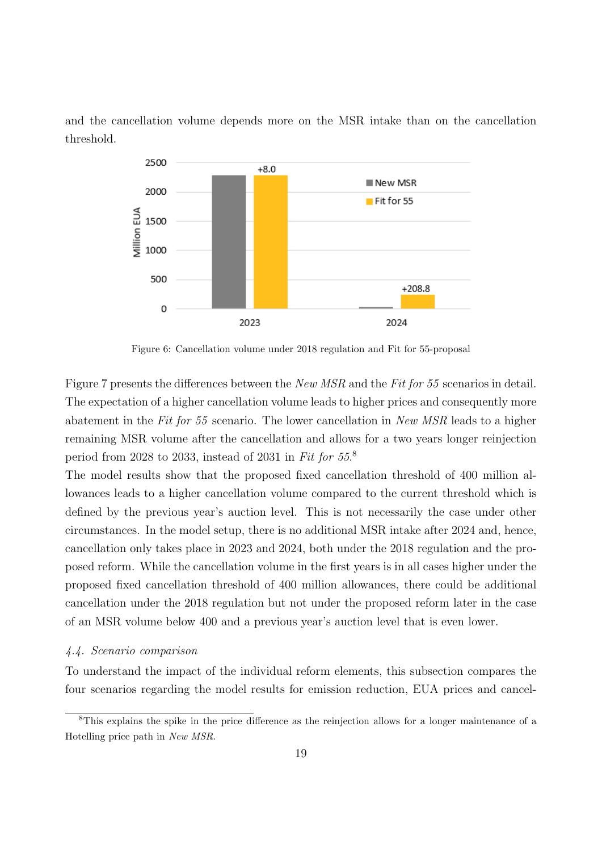and the cancellation volume depends more on the MSR intake than on the cancellation threshold.



Figure 6: Cancellation volume under 2018 regulation and Fit for 55-proposal

Figure 7 presents the differences between the New MSR and the Fit for 55 scenarios in detail. The expectation of a higher cancellation volume leads to higher prices and consequently more abatement in the Fit for 55 scenario. The lower cancellation in New MSR leads to a higher remaining MSR volume after the cancellation and allows for a two years longer reinjection period from 2028 to 2033, instead of 2031 in Fit for 55.<sup>8</sup>

The model results show that the proposed fixed cancellation threshold of 400 million allowances leads to a higher cancellation volume compared to the current threshold which is defined by the previous year's auction level. This is not necessarily the case under other circumstances. In the model setup, there is no additional MSR intake after 2024 and, hence, cancellation only takes place in 2023 and 2024, both under the 2018 regulation and the proposed reform. While the cancellation volume in the first years is in all cases higher under the proposed fixed cancellation threshold of 400 million allowances, there could be additional cancellation under the 2018 regulation but not under the proposed reform later in the case of an MSR volume below 400 and a previous year's auction level that is even lower.

#### 4.4. Scenario comparison

To understand the impact of the individual reform elements, this subsection compares the four scenarios regarding the model results for emission reduction, EUA prices and cancel-

<sup>8</sup>This explains the spike in the price difference as the reinjection allows for a longer maintenance of a Hotelling price path in New MSR.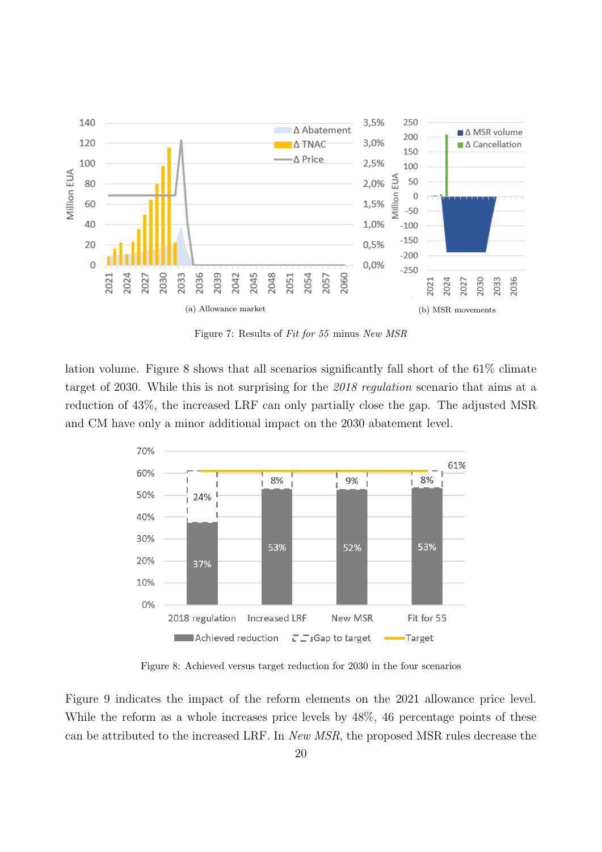

Figure 7: Results of Fit for 55 minus New MSR

lation volume. Figure 8 shows that all scenarios significantly fall short of the 61% climate target of 2030. While this is not surprising for the 2018 regulation scenario that aims at a reduction of 43%, the increased LRF can only partially close the gap. The adjusted MSR and CM have only a minor additional impact on the 2030 abatement level.



Figure 8: Achieved versus target reduction for 2030 in the four scenarios

Figure 9 indicates the impact of the reform elements on the 2021 allowance price level. While the reform as a whole increases price levels by  $48\%$ , 46 percentage points of these can be attributed to the increased LRF. In New MSR, the proposed MSR rules decrease the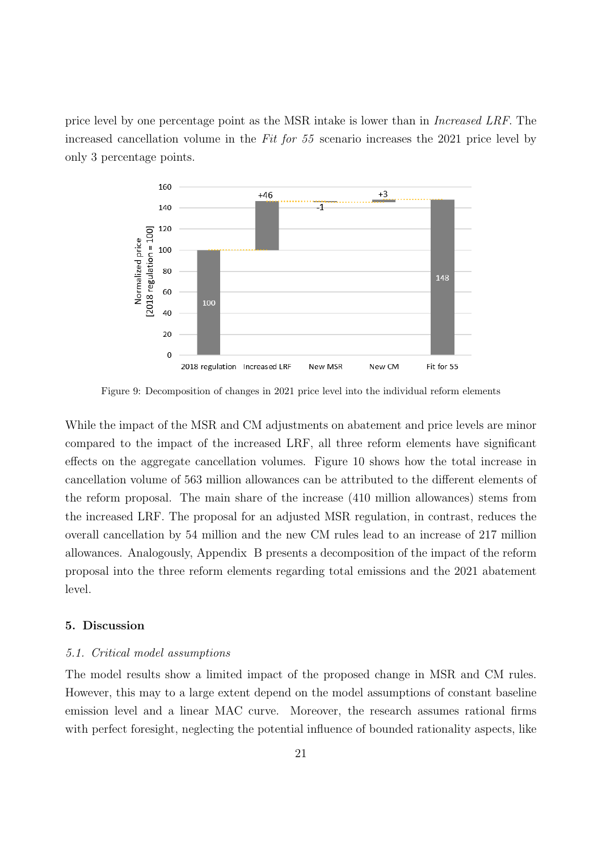price level by one percentage point as the MSR intake is lower than in Increased LRF. The increased cancellation volume in the Fit for 55 scenario increases the 2021 price level by only 3 percentage points.



Figure 9: Decomposition of changes in 2021 price level into the individual reform elements

While the impact of the MSR and CM adjustments on abatement and price levels are minor compared to the impact of the increased LRF, all three reform elements have significant effects on the aggregate cancellation volumes. Figure 10 shows how the total increase in cancellation volume of 563 million allowances can be attributed to the different elements of the reform proposal. The main share of the increase (410 million allowances) stems from the increased LRF. The proposal for an adjusted MSR regulation, in contrast, reduces the overall cancellation by 54 million and the new CM rules lead to an increase of 217 million allowances. Analogously, Appendix B presents a decomposition of the impact of the reform proposal into the three reform elements regarding total emissions and the 2021 abatement level.

#### 5. Discussion

#### 5.1. Critical model assumptions

The model results show a limited impact of the proposed change in MSR and CM rules. However, this may to a large extent depend on the model assumptions of constant baseline emission level and a linear MAC curve. Moreover, the research assumes rational firms with perfect foresight, neglecting the potential influence of bounded rationality aspects, like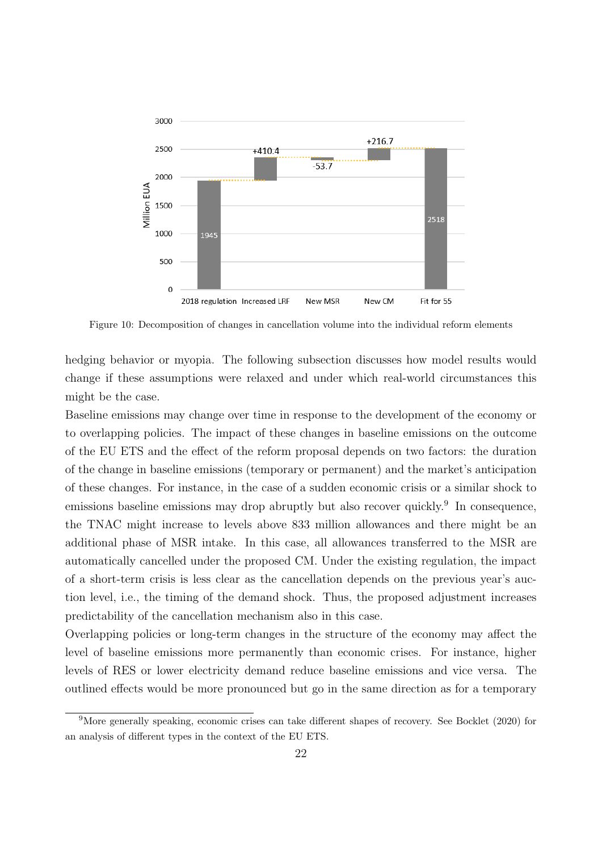

Figure 10: Decomposition of changes in cancellation volume into the individual reform elements

hedging behavior or myopia. The following subsection discusses how model results would change if these assumptions were relaxed and under which real-world circumstances this might be the case.

Baseline emissions may change over time in response to the development of the economy or to overlapping policies. The impact of these changes in baseline emissions on the outcome of the EU ETS and the effect of the reform proposal depends on two factors: the duration of the change in baseline emissions (temporary or permanent) and the market's anticipation of these changes. For instance, in the case of a sudden economic crisis or a similar shock to emissions baseline emissions may drop abruptly but also recover quickly.<sup>9</sup> In consequence, the TNAC might increase to levels above 833 million allowances and there might be an additional phase of MSR intake. In this case, all allowances transferred to the MSR are automatically cancelled under the proposed CM. Under the existing regulation, the impact of a short-term crisis is less clear as the cancellation depends on the previous year's auction level, i.e., the timing of the demand shock. Thus, the proposed adjustment increases predictability of the cancellation mechanism also in this case.

Overlapping policies or long-term changes in the structure of the economy may affect the level of baseline emissions more permanently than economic crises. For instance, higher levels of RES or lower electricity demand reduce baseline emissions and vice versa. The outlined effects would be more pronounced but go in the same direction as for a temporary

<sup>9</sup>More generally speaking, economic crises can take different shapes of recovery. See Bocklet (2020) for an analysis of different types in the context of the EU ETS.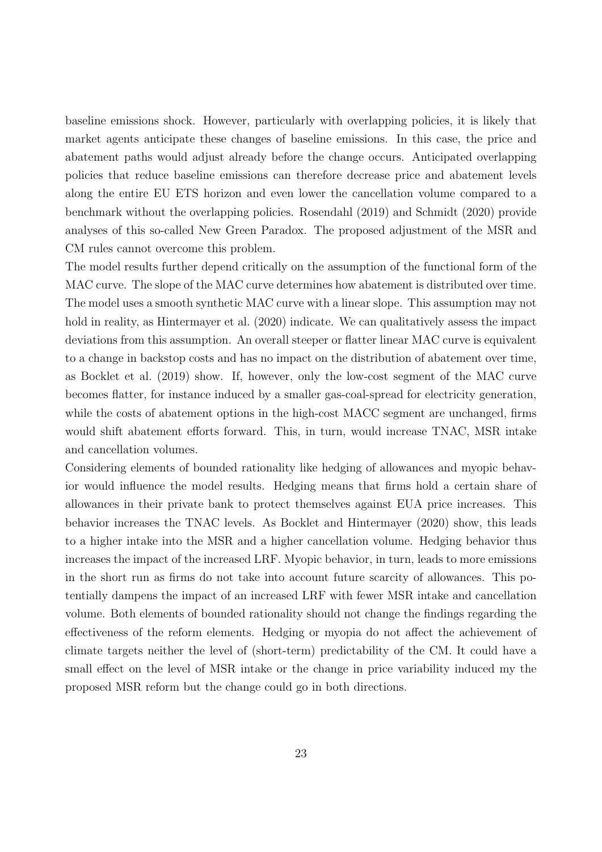baseline emissions shock. However, particularly with overlapping policies, it is likely that market agents anticipate these changes of baseline emissions. In this case, the price and abatement paths would adjust already before the change occurs. Anticipated overlapping policies that reduce baseline emissions can therefore decrease price and abatement levels along the entire EU ETS horizon and even lower the cancellation volume compared to a benchmark without the overlapping policies. Rosendahl (2019) and Schmidt (2020) provide analyses of this so-called New Green Paradox. The proposed adjustment of the MSR and CM rules cannot overcome this problem.

The model results further depend critically on the assumption of the functional form of the MAC curve. The slope of the MAC curve determines how abatement is distributed over time. The model uses a smooth synthetic MAC curve with a linear slope. This assumption may not hold in reality, as Hintermayer et al.  $(2020)$  indicate. We can qualitatively assess the impact deviations from this assumption. An overall steeper or flatter linear MAC curve is equivalent to a change in backstop costs and has no impact on the distribution of abatement over time, as Bocklet et al. (2019) show. If, however, only the low-cost segment of the MAC curve becomes flatter, for instance induced by a smaller gas-coal-spread for electricity generation, while the costs of abatement options in the high-cost MACC segment are unchanged, firms would shift abatement efforts forward. This, in turn, would increase TNAC, MSR intake and cancellation volumes.

Considering elements of bounded rationality like hedging of allowances and myopic behavior would influence the model results. Hedging means that firms hold a certain share of allowances in their private bank to protect themselves against EUA price increases. This behavior increases the TNAC levels. As Bocklet and Hintermayer (2020) show, this leads to a higher intake into the MSR and a higher cancellation volume. Hedging behavior thus increases the impact of the increased LRF. Myopic behavior, in turn, leads to more emissions in the short run as firms do not take into account future scarcity of allowances. This potentially dampens the impact of an increased LRF with fewer MSR intake and cancellation volume. Both elements of bounded rationality should not change the findings regarding the effectiveness of the reform elements. Hedging or myopia do not affect the achievement of climate targets neither the level of (short-term) predictability of the CM. It could have a small effect on the level of MSR intake or the change in price variability induced my the proposed MSR reform but the change could go in both directions.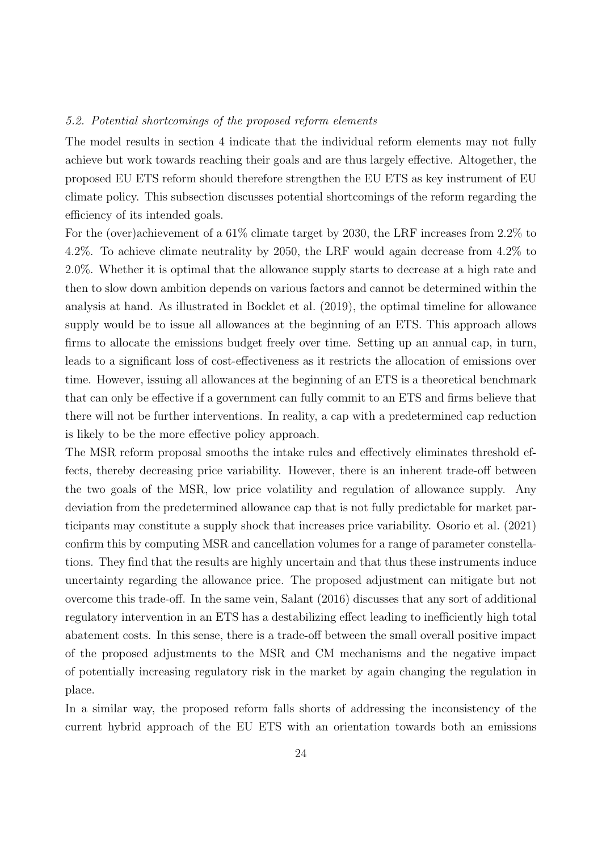#### 5.2. Potential shortcomings of the proposed reform elements

The model results in section 4 indicate that the individual reform elements may not fully achieve but work towards reaching their goals and are thus largely effective. Altogether, the proposed EU ETS reform should therefore strengthen the EU ETS as key instrument of EU climate policy. This subsection discusses potential shortcomings of the reform regarding the efficiency of its intended goals.

For the (over)achievement of a 61% climate target by 2030, the LRF increases from 2.2% to 4.2%. To achieve climate neutrality by 2050, the LRF would again decrease from 4.2% to 2.0%. Whether it is optimal that the allowance supply starts to decrease at a high rate and then to slow down ambition depends on various factors and cannot be determined within the analysis at hand. As illustrated in Bocklet et al. (2019), the optimal timeline for allowance supply would be to issue all allowances at the beginning of an ETS. This approach allows firms to allocate the emissions budget freely over time. Setting up an annual cap, in turn, leads to a significant loss of cost-effectiveness as it restricts the allocation of emissions over time. However, issuing all allowances at the beginning of an ETS is a theoretical benchmark that can only be effective if a government can fully commit to an ETS and firms believe that there will not be further interventions. In reality, a cap with a predetermined cap reduction is likely to be the more effective policy approach.

The MSR reform proposal smooths the intake rules and effectively eliminates threshold effects, thereby decreasing price variability. However, there is an inherent trade-off between the two goals of the MSR, low price volatility and regulation of allowance supply. Any deviation from the predetermined allowance cap that is not fully predictable for market participants may constitute a supply shock that increases price variability. Osorio et al. (2021) confirm this by computing MSR and cancellation volumes for a range of parameter constellations. They find that the results are highly uncertain and that thus these instruments induce uncertainty regarding the allowance price. The proposed adjustment can mitigate but not overcome this trade-off. In the same vein, Salant (2016) discusses that any sort of additional regulatory intervention in an ETS has a destabilizing effect leading to inefficiently high total abatement costs. In this sense, there is a trade-off between the small overall positive impact of the proposed adjustments to the MSR and CM mechanisms and the negative impact of potentially increasing regulatory risk in the market by again changing the regulation in place.

In a similar way, the proposed reform falls shorts of addressing the inconsistency of the current hybrid approach of the EU ETS with an orientation towards both an emissions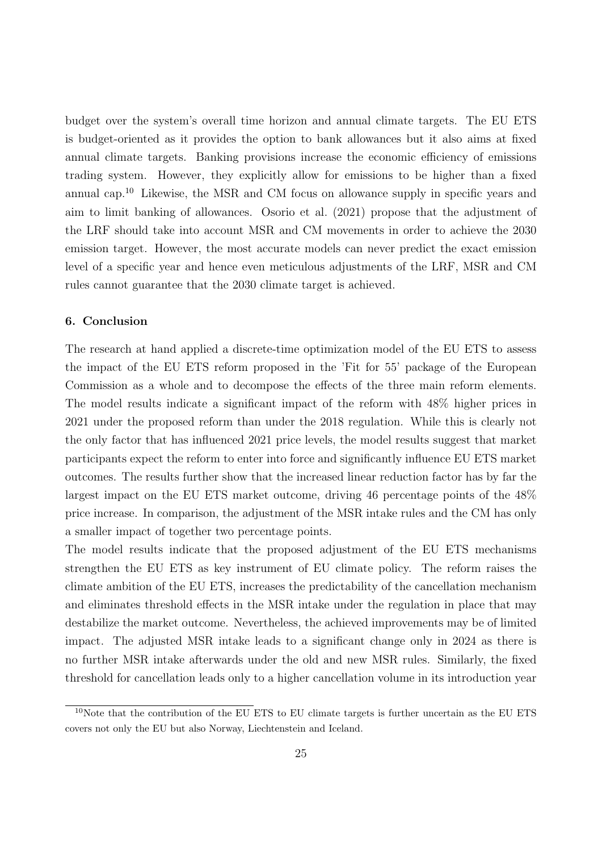budget over the system's overall time horizon and annual climate targets. The EU ETS is budget-oriented as it provides the option to bank allowances but it also aims at fixed annual climate targets. Banking provisions increase the economic efficiency of emissions trading system. However, they explicitly allow for emissions to be higher than a fixed annual cap.<sup>10</sup> Likewise, the MSR and CM focus on allowance supply in specific years and aim to limit banking of allowances. Osorio et al. (2021) propose that the adjustment of the LRF should take into account MSR and CM movements in order to achieve the 2030 emission target. However, the most accurate models can never predict the exact emission level of a specific year and hence even meticulous adjustments of the LRF, MSR and CM rules cannot guarantee that the 2030 climate target is achieved.

#### 6. Conclusion

The research at hand applied a discrete-time optimization model of the EU ETS to assess the impact of the EU ETS reform proposed in the 'Fit for 55' package of the European Commission as a whole and to decompose the effects of the three main reform elements. The model results indicate a significant impact of the reform with 48% higher prices in 2021 under the proposed reform than under the 2018 regulation. While this is clearly not the only factor that has influenced 2021 price levels, the model results suggest that market participants expect the reform to enter into force and significantly influence EU ETS market outcomes. The results further show that the increased linear reduction factor has by far the largest impact on the EU ETS market outcome, driving 46 percentage points of the 48% price increase. In comparison, the adjustment of the MSR intake rules and the CM has only a smaller impact of together two percentage points.

The model results indicate that the proposed adjustment of the EU ETS mechanisms strengthen the EU ETS as key instrument of EU climate policy. The reform raises the climate ambition of the EU ETS, increases the predictability of the cancellation mechanism and eliminates threshold effects in the MSR intake under the regulation in place that may destabilize the market outcome. Nevertheless, the achieved improvements may be of limited impact. The adjusted MSR intake leads to a significant change only in 2024 as there is no further MSR intake afterwards under the old and new MSR rules. Similarly, the fixed threshold for cancellation leads only to a higher cancellation volume in its introduction year

 $10$ Note that the contribution of the EU ETS to EU climate targets is further uncertain as the EU ETS covers not only the EU but also Norway, Liechtenstein and Iceland.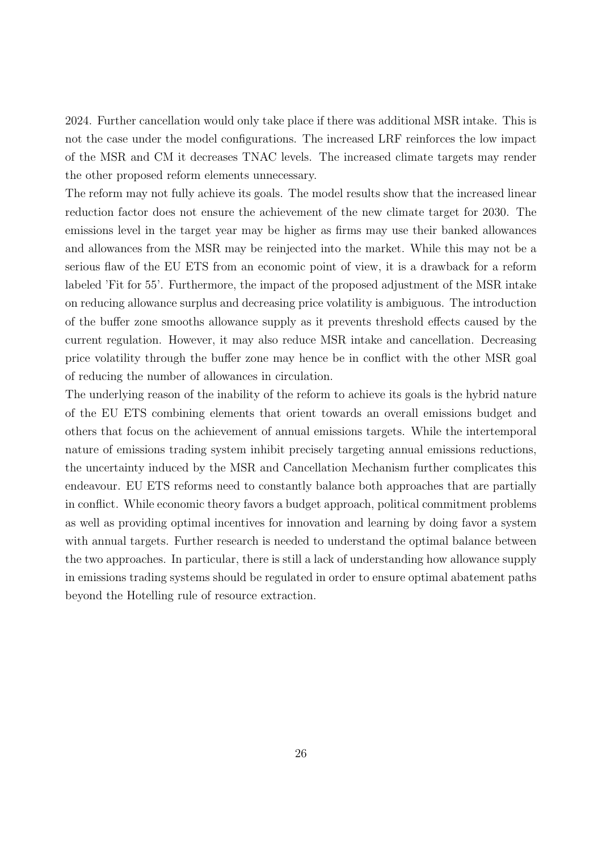2024. Further cancellation would only take place if there was additional MSR intake. This is not the case under the model configurations. The increased LRF reinforces the low impact of the MSR and CM it decreases TNAC levels. The increased climate targets may render the other proposed reform elements unnecessary.

The reform may not fully achieve its goals. The model results show that the increased linear reduction factor does not ensure the achievement of the new climate target for 2030. The emissions level in the target year may be higher as firms may use their banked allowances and allowances from the MSR may be reinjected into the market. While this may not be a serious flaw of the EU ETS from an economic point of view, it is a drawback for a reform labeled 'Fit for 55'. Furthermore, the impact of the proposed adjustment of the MSR intake on reducing allowance surplus and decreasing price volatility is ambiguous. The introduction of the buffer zone smooths allowance supply as it prevents threshold effects caused by the current regulation. However, it may also reduce MSR intake and cancellation. Decreasing price volatility through the buffer zone may hence be in conflict with the other MSR goal of reducing the number of allowances in circulation.

The underlying reason of the inability of the reform to achieve its goals is the hybrid nature of the EU ETS combining elements that orient towards an overall emissions budget and others that focus on the achievement of annual emissions targets. While the intertemporal nature of emissions trading system inhibit precisely targeting annual emissions reductions, the uncertainty induced by the MSR and Cancellation Mechanism further complicates this endeavour. EU ETS reforms need to constantly balance both approaches that are partially in conflict. While economic theory favors a budget approach, political commitment problems as well as providing optimal incentives for innovation and learning by doing favor a system with annual targets. Further research is needed to understand the optimal balance between the two approaches. In particular, there is still a lack of understanding how allowance supply in emissions trading systems should be regulated in order to ensure optimal abatement paths beyond the Hotelling rule of resource extraction.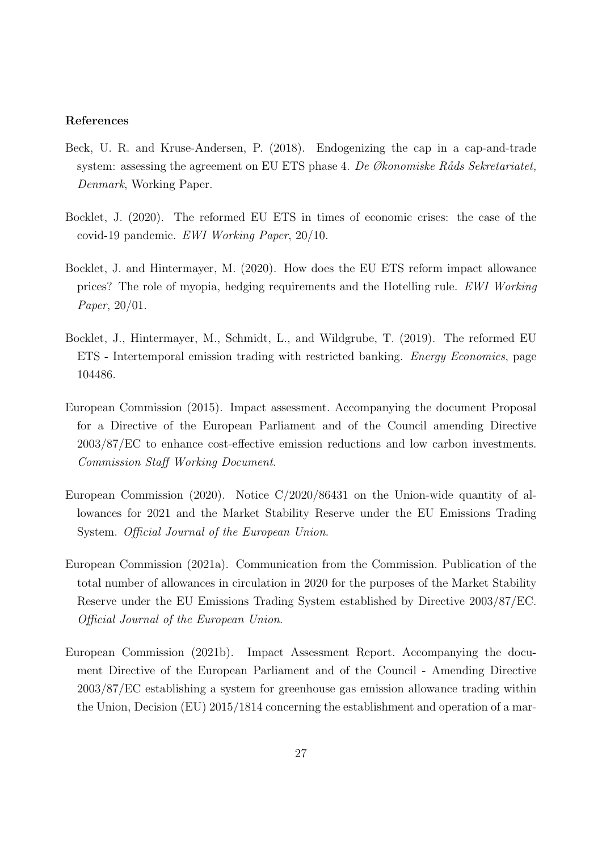#### References

- Beck, U. R. and Kruse-Andersen, P. (2018). Endogenizing the cap in a cap-and-trade system: assessing the agreement on EU ETS phase 4. De  $Økonomiske Råds Sekretariatet$ , Denmark, Working Paper.
- Bocklet, J. (2020). The reformed EU ETS in times of economic crises: the case of the covid-19 pandemic. EWI Working Paper, 20/10.
- Bocklet, J. and Hintermayer, M. (2020). How does the EU ETS reform impact allowance prices? The role of myopia, hedging requirements and the Hotelling rule. EWI Working Paper, 20/01.
- Bocklet, J., Hintermayer, M., Schmidt, L., and Wildgrube, T. (2019). The reformed EU ETS - Intertemporal emission trading with restricted banking. Energy Economics, page 104486.
- European Commission (2015). Impact assessment. Accompanying the document Proposal for a Directive of the European Parliament and of the Council amending Directive 2003/87/EC to enhance cost-effective emission reductions and low carbon investments. Commission Staff Working Document.
- European Commission (2020). Notice C/2020/86431 on the Union-wide quantity of allowances for 2021 and the Market Stability Reserve under the EU Emissions Trading System. Official Journal of the European Union.
- European Commission (2021a). Communication from the Commission. Publication of the total number of allowances in circulation in 2020 for the purposes of the Market Stability Reserve under the EU Emissions Trading System established by Directive 2003/87/EC. Official Journal of the European Union.
- European Commission (2021b). Impact Assessment Report. Accompanying the document Directive of the European Parliament and of the Council - Amending Directive 2003/87/EC establishing a system for greenhouse gas emission allowance trading within the Union, Decision (EU) 2015/1814 concerning the establishment and operation of a mar-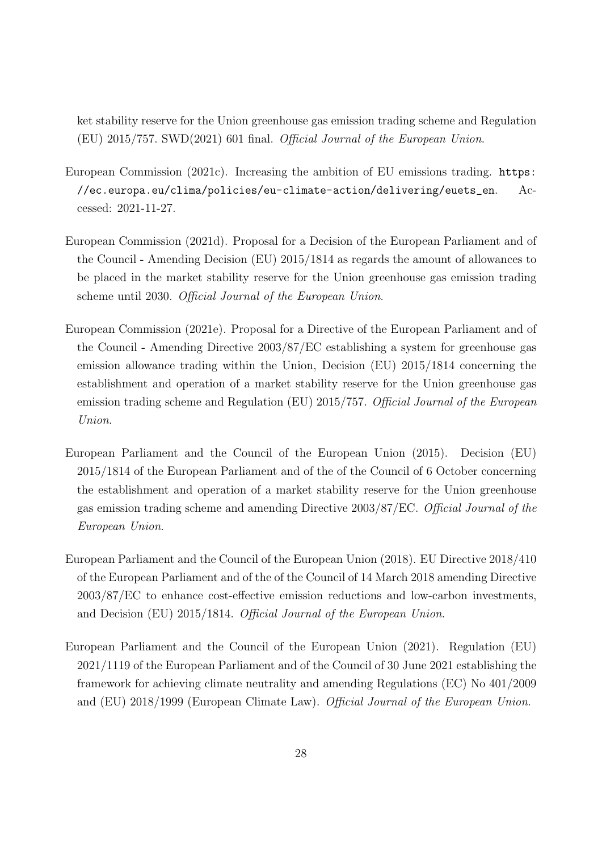ket stability reserve for the Union greenhouse gas emission trading scheme and Regulation (EU) 2015/757. SWD(2021) 601 final. Official Journal of the European Union.

- European Commission (2021c). Increasing the ambition of EU emissions trading. https: //ec.europa.eu/clima/policies/eu-climate-action/delivering/euets\_en. Accessed: 2021-11-27.
- European Commission (2021d). Proposal for a Decision of the European Parliament and of the Council - Amending Decision (EU) 2015/1814 as regards the amount of allowances to be placed in the market stability reserve for the Union greenhouse gas emission trading scheme until 2030. Official Journal of the European Union.
- European Commission (2021e). Proposal for a Directive of the European Parliament and of the Council - Amending Directive 2003/87/EC establishing a system for greenhouse gas emission allowance trading within the Union, Decision (EU) 2015/1814 concerning the establishment and operation of a market stability reserve for the Union greenhouse gas emission trading scheme and Regulation (EU) 2015/757. Official Journal of the European Union.
- European Parliament and the Council of the European Union (2015). Decision (EU) 2015/1814 of the European Parliament and of the of the Council of 6 October concerning the establishment and operation of a market stability reserve for the Union greenhouse gas emission trading scheme and amending Directive 2003/87/EC. Official Journal of the European Union.
- European Parliament and the Council of the European Union (2018). EU Directive 2018/410 of the European Parliament and of the of the Council of 14 March 2018 amending Directive 2003/87/EC to enhance cost-effective emission reductions and low-carbon investments, and Decision (EU) 2015/1814. Official Journal of the European Union.
- European Parliament and the Council of the European Union (2021). Regulation (EU) 2021/1119 of the European Parliament and of the Council of 30 June 2021 establishing the framework for achieving climate neutrality and amending Regulations (EC) No 401/2009 and (EU) 2018/1999 (European Climate Law). Official Journal of the European Union.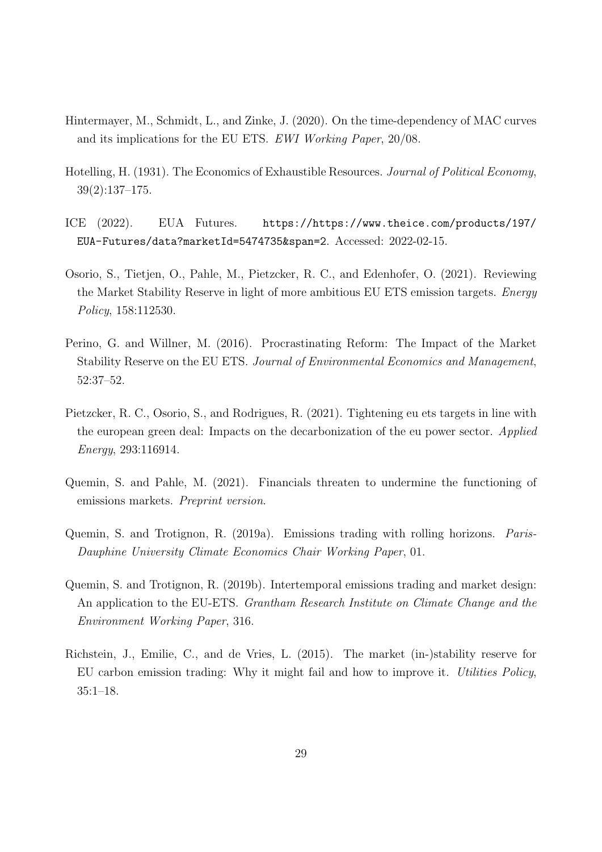- Hintermayer, M., Schmidt, L., and Zinke, J. (2020). On the time-dependency of MAC curves and its implications for the EU ETS. EWI Working Paper, 20/08.
- Hotelling, H. (1931). The Economics of Exhaustible Resources. Journal of Political Economy, 39(2):137–175.
- ICE (2022). EUA Futures. https://https://www.theice.com/products/197/ EUA-Futures/data?marketId=5474735&span=2. Accessed: 2022-02-15.
- Osorio, S., Tietjen, O., Pahle, M., Pietzcker, R. C., and Edenhofer, O. (2021). Reviewing the Market Stability Reserve in light of more ambitious EU ETS emission targets. Energy Policy, 158:112530.
- Perino, G. and Willner, M. (2016). Procrastinating Reform: The Impact of the Market Stability Reserve on the EU ETS. Journal of Environmental Economics and Management, 52:37–52.
- Pietzcker, R. C., Osorio, S., and Rodrigues, R. (2021). Tightening eu ets targets in line with the european green deal: Impacts on the decarbonization of the eu power sector. Applied Energy, 293:116914.
- Quemin, S. and Pahle, M. (2021). Financials threaten to undermine the functioning of emissions markets. Preprint version.
- Quemin, S. and Trotignon, R. (2019a). Emissions trading with rolling horizons. Paris-Dauphine University Climate Economics Chair Working Paper, 01.
- Quemin, S. and Trotignon, R. (2019b). Intertemporal emissions trading and market design: An application to the EU-ETS. Grantham Research Institute on Climate Change and the Environment Working Paper, 316.
- Richstein, J., Emilie, C., and de Vries, L. (2015). The market (in-)stability reserve for EU carbon emission trading: Why it might fail and how to improve it. Utilities Policy, 35:1–18.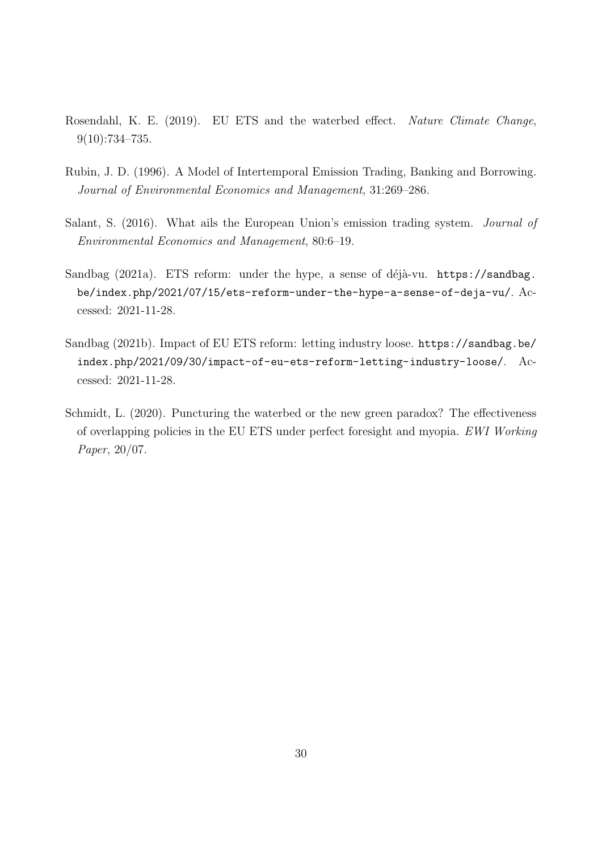- Rosendahl, K. E. (2019). EU ETS and the waterbed effect. Nature Climate Change, 9(10):734–735.
- Rubin, J. D. (1996). A Model of Intertemporal Emission Trading, Banking and Borrowing. Journal of Environmental Economics and Management, 31:269–286.
- Salant, S. (2016). What ails the European Union's emission trading system. Journal of Environmental Economics and Management, 80:6–19.
- Sandbag (2021a). ETS reform: under the hype, a sense of déjà-vu. https://sandbag. be/index.php/2021/07/15/ets-reform-under-the-hype-a-sense-of-deja-vu/. Accessed: 2021-11-28.
- Sandbag (2021b). Impact of EU ETS reform: letting industry loose. https://sandbag.be/ index.php/2021/09/30/impact-of-eu-ets-reform-letting-industry-loose/. Accessed: 2021-11-28.
- Schmidt, L. (2020). Puncturing the waterbed or the new green paradox? The effectiveness of overlapping policies in the EU ETS under perfect foresight and myopia. EWI Working Paper, 20/07.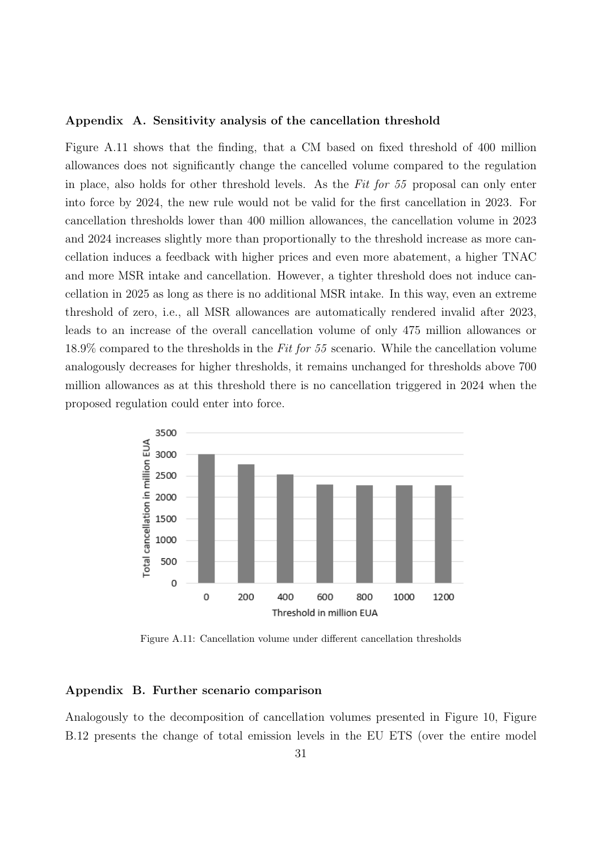#### Appendix A. Sensitivity analysis of the cancellation threshold

Figure A.11 shows that the finding, that a CM based on fixed threshold of 400 million allowances does not significantly change the cancelled volume compared to the regulation in place, also holds for other threshold levels. As the Fit for 55 proposal can only enter into force by 2024, the new rule would not be valid for the first cancellation in 2023. For cancellation thresholds lower than 400 million allowances, the cancellation volume in 2023 and 2024 increases slightly more than proportionally to the threshold increase as more cancellation induces a feedback with higher prices and even more abatement, a higher TNAC and more MSR intake and cancellation. However, a tighter threshold does not induce cancellation in 2025 as long as there is no additional MSR intake. In this way, even an extreme threshold of zero, i.e., all MSR allowances are automatically rendered invalid after 2023, leads to an increase of the overall cancellation volume of only 475 million allowances or 18.9% compared to the thresholds in the Fit for 55 scenario. While the cancellation volume analogously decreases for higher thresholds, it remains unchanged for thresholds above 700 million allowances as at this threshold there is no cancellation triggered in 2024 when the proposed regulation could enter into force.



Figure A.11: Cancellation volume under different cancellation thresholds

#### Appendix B. Further scenario comparison

Analogously to the decomposition of cancellation volumes presented in Figure 10, Figure B.12 presents the change of total emission levels in the EU ETS (over the entire model